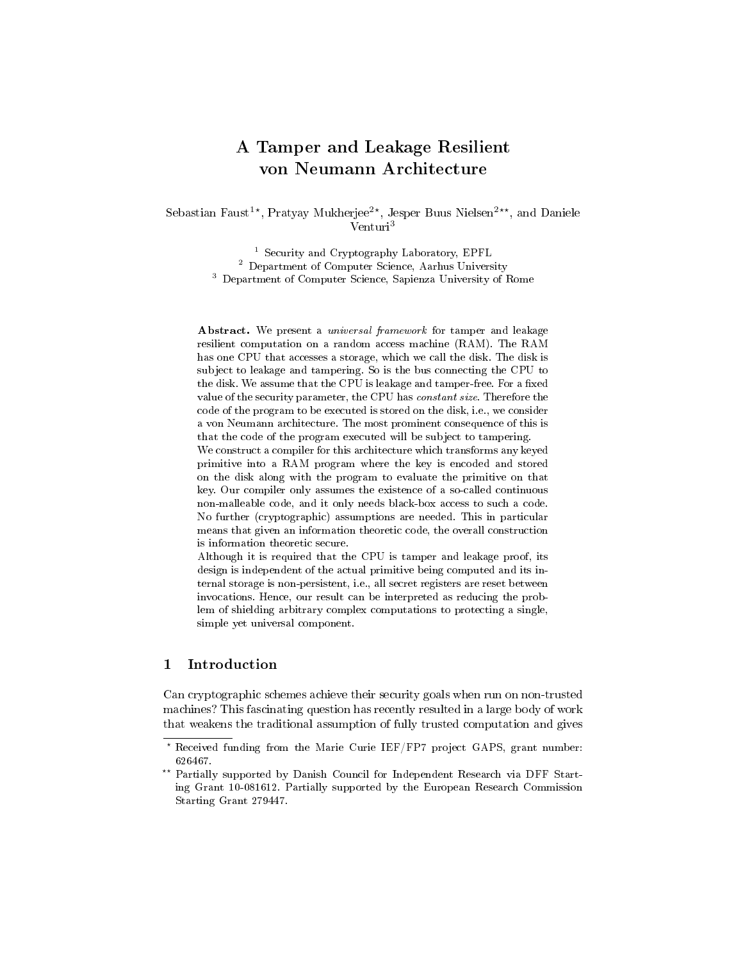# A Tamper and Leakage Resilient von Neumann Architecture

Sebastian Faust<sup>1\*</sup>, Pratyay Mukherjee<sup>2\*</sup>, Jesper Buus Nielsen<sup>2\*\*</sup>, and Daniele Venturi<sup>3</sup>

> <sup>1</sup> Security and Cryptography Laboratory, EPFL <sup>2</sup> Department of Computer Science, Aarhus University <sup>3</sup> Department of Computer Science, Sapienza University of Rome

Abstract. We present a *universal framework* for tamper and leakage resilient computation on a random access machine (RAM). The RAM has one CPU that accesses a storage, which we call the disk. The disk is subject to leakage and tampering. So is the bus connecting the CPU to the disk. We assume that the CPU is leakage and tamper-free. For a fixed value of the security parameter, the CPU has constant size. Therefore the code of the program to be executed is stored on the disk, i.e., we consider a von Neumann architecture. The most prominent consequence of this is that the code of the program executed will be subject to tampering.

We construct a compiler for this architecture which transforms any keyed primitive into a RAM program where the key is encoded and stored on the disk along with the program to evaluate the primitive on that key. Our compiler only assumes the existence of a so-called continuous non-malleable code, and it only needs black-box access to such a code. No further (cryptographic) assumptions are needed. This in particular means that given an information theoretic code, the overall construction is information theoretic secure.

Although it is required that the CPU is tamper and leakage proof, its design is independent of the actual primitive being computed and its internal storage is non-persistent, i.e., all secret registers are reset between invocations. Hence, our result can be interpreted as reducing the problem of shielding arbitrary complex computations to protecting a single, simple yet universal component.

# 1 Introduction

Can cryptographic schemes achieve their security goals when run on non-trusted machines? This fascinating question has recently resulted in a large body of work that weakens the traditional assumption of fully trusted computation and gives

<sup>?</sup> Received funding from the Marie Curie IEF/FP7 project GAPS, grant number: 626467.

<sup>\*\*</sup> Partially supported by Danish Council for Independent Research via DFF Starting Grant 10-081612. Partially supported by the European Research Commission Starting Grant 279447.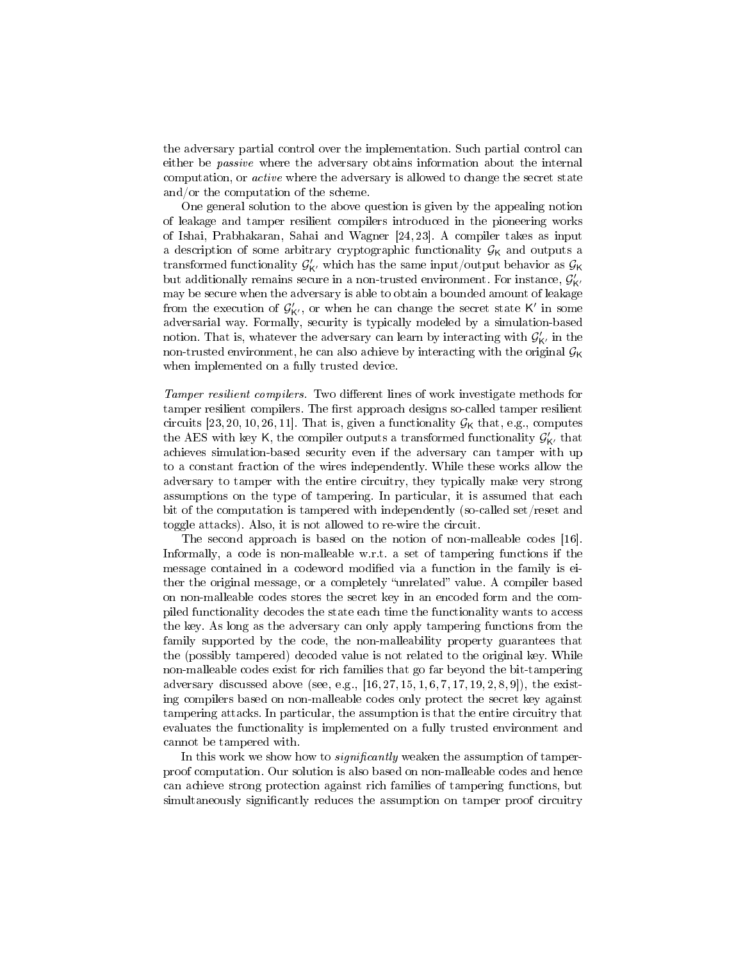the adversary partial control over the implementation. Such partial control can either be passive where the adversary obtains information about the internal computation, or active where the adversary is allowed to change the secret state and/or the computation of the scheme.

One general solution to the above question is given by the appealing notion of leakage and tamper resilient compilers introduced in the pioneering works of Ishai, Prabhakaran, Sahai and Wagner [24, 23]. A compiler takes as input a description of some arbitrary cryptographic functionality  $G_K$  and outputs a transformed functionality  $\mathcal{G}_{\mathsf{K}'}'$  which has the same input/output behavior as  $\mathcal{G}_{\mathsf{K}}$ but additionally remains secure in a non-trusted environment. For instance,  $\mathcal{G}_{\mathsf{K}'}'$ may be secure when the adversary is able to obtain a bounded amount of leakage from the execution of  $\mathcal{G}'_{\mathsf{K}'}$ , or when he can change the secret state  $\mathsf{K}'$  in some adversarial way. Formally, security is typically modeled by a simulation-based notion. That is, whatever the adversary can learn by interacting with  $\mathcal{G}_{\mathsf{K}'}'$  in the non-trusted environment, he can also achieve by interacting with the original  $\mathcal{G}_{\mathsf{K}}$ when implemented on a fully trusted device.

Tamper resilient compilers. Two different lines of work investigate methods for tamper resilient compilers. The first approach designs so-called tamper resilient circuits [23, 20, 10, 26, 11]. That is, given a functionality  $\mathcal{G}_{\mathsf{K}}$  that, e.g., computes the AES with key K, the compiler outputs a transformed functionality  $\mathcal{G}_{\mathsf{K}'}'$  that achieves simulation-based security even if the adversary can tamper with up to a constant fraction of the wires independently. While these works allow the adversary to tamper with the entire circuitry, they typically make very strong assumptions on the type of tampering. In particular, it is assumed that each bit of the computation is tampered with independently (so-called set/reset and toggle attacks). Also, it is not allowed to re-wire the circuit.

The second approach is based on the notion of non-malleable codes [16]. Informally, a code is non-malleable w.r.t. a set of tampering functions if the message contained in a codeword modified via a function in the family is either the original message, or a completely "unrelated" value. A compiler based on non-malleable codes stores the secret key in an encoded form and the compiled functionality decodes the state each time the functionality wants to access the key. As long as the adversary can only apply tampering functions from the family supported by the code, the non-malleability property guarantees that the (possibly tampered) decoded value is not related to the original key. While non-malleable codes exist for rich families that go far beyond the bit-tampering adversary discussed above (see, e.g.,  $[16, 27, 15, 1, 6, 7, 17, 19, 2, 8, 9]$ ), the existing compilers based on non-malleable codes only protect the secret key against tampering attacks. In particular, the assumption is that the entire circuitry that evaluates the functionality is implemented on a fully trusted environment and cannot be tampered with.

In this work we show how to *significantly* weaken the assumption of tamperproof computation. Our solution is also based on non-malleable codes and hence can achieve strong protection against rich families of tampering functions, but simultaneously significantly reduces the assumption on tamper proof circuitry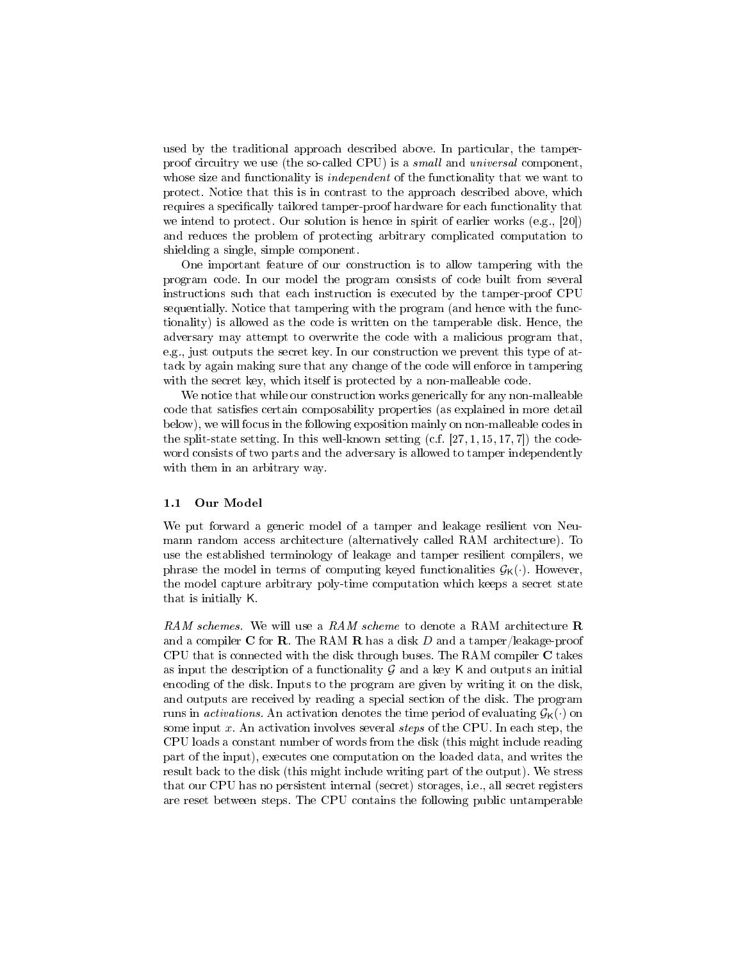used by the traditional approach described above. In particular, the tamperproof circuitry we use (the so-called CPU) is a small and universal component, whose size and functionality is *independent* of the functionality that we want to protect. Notice that this is in contrast to the approach described above, which requires a specifically tailored tamper-proof hardware for each functionality that we intend to protect. Our solution is hence in spirit of earlier works (e.g., [20]) and reduces the problem of protecting arbitrary complicated computation to shielding a single, simple component.

One important feature of our construction is to allow tampering with the program code. In our model the program consists of code built from several instructions such that each instruction is executed by the tamper-proof CPU sequentially. Notice that tampering with the program (and hence with the functionality) is allowed as the code is written on the tamperable disk. Hence, the adversary may attempt to overwrite the code with a malicious program that, e.g., just outputs the secret key. In our construction we prevent this type of attack by again making sure that any change of the code will enforce in tampering with the secret key, which itself is protected by a non-malleable code.

We notice that while our construction works generically for any non-malleable code that satisfies certain composability properties (as explained in more detail below), we will focus in the following exposition mainly on non-malleable codes in the split-state setting. In this well-known setting  $(c.f. [27, 1, 15, 17, 7])$  the codeword consists of two parts and the adversary is allowed to tamper independently with them in an arbitrary way.

#### 1.1 Our Model

We put forward a generic model of a tamper and leakage resilient von Neumann random access architecture (alternatively called RAM architecture). To use the established terminology of leakage and tamper resilient compilers, we phrase the model in terms of computing keyed functionalities  $G_K(\cdot)$ . However, the model capture arbitrary poly-time computation which keeps a secret state that is initially K.

RAM schemes. We will use a RAM scheme to denote a RAM architecture  $R$ and a compiler C for R. The RAM R has a disk  $D$  and a tamper/leakage-proof CPU that is connected with the disk through buses. The RAM compiler C takes as input the description of a functionality  $G$  and a key K and outputs an initial encoding of the disk. Inputs to the program are given by writing it on the disk, and outputs are received by reading a special section of the disk. The program runs in *activations*. An activation denotes the time period of evaluating  $\mathcal{G}_{\mathsf{K}}(\cdot)$  on some input x. An activation involves several steps of the CPU. In each step, the CPU loads a constant number of words from the disk (this might include reading part of the input), executes one computation on the loaded data, and writes the result back to the disk (this might include writing part of the output). We stress that our CPU has no persistent internal (secret) storages, i.e., all secret registers are reset between steps. The CPU contains the following public untamperable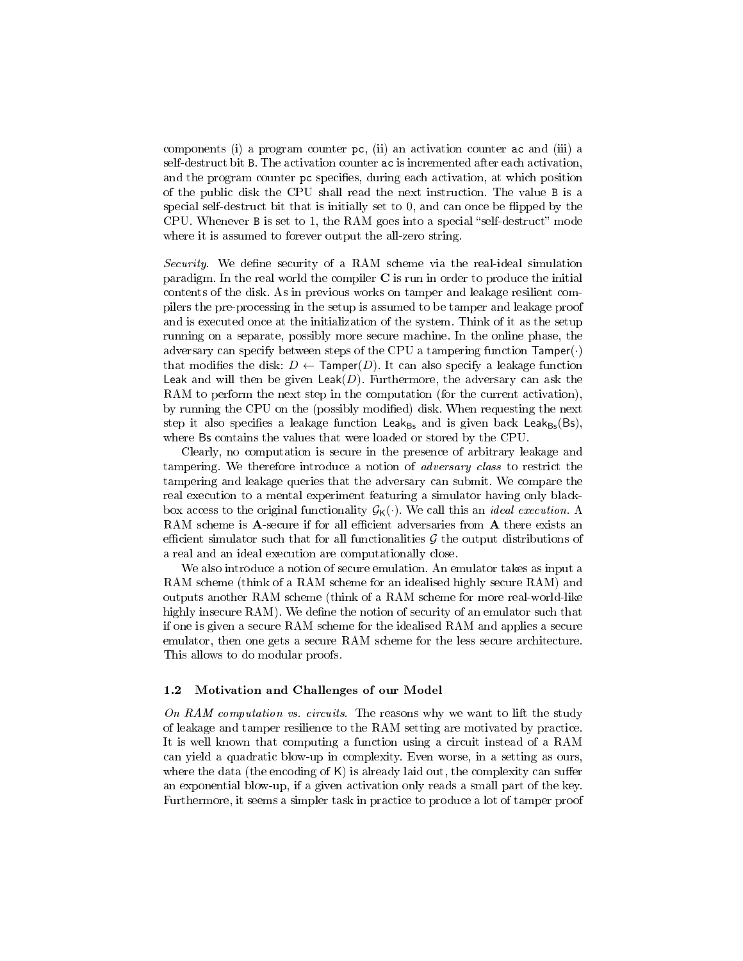components (i) a program counter pc, (ii) an activation counter ac and (iii) a self-destruct bit B. The activation counter ac is incremented after each activation, and the program counter pc specifies, during each activation, at which position of the public disk the CPU shall read the next instruction. The value B is a special self-destruct bit that is initially set to  $0$ , and can once be flipped by the CPU. Whenever  $B$  is set to 1, the RAM goes into a special "self-destruct" mode where it is assumed to forever output the all-zero string.

Security. We define security of a RAM scheme via the real-ideal simulation paradigm. In the real world the compiler  $C$  is run in order to produce the initial contents of the disk. As in previous works on tamper and leakage resilient compilers the pre-processing in the setup is assumed to be tamper and leakage proof and is executed once at the initialization of the system. Think of it as the setup running on a separate, possibly more secure machine. In the online phase, the adversary can specify between steps of the CPU a tampering function  $\mathsf{Tamper}(\cdot)$ that modifies the disk:  $D \leftarrow$  Tamper(D). It can also specify a leakage function Leak and will then be given  $\mathsf{Leak}(D)$ . Furthermore, the adversary can ask the RAM to perform the next step in the computation (for the current activation), by running the CPU on the (possibly modified) disk. When requesting the next step it also specifies a leakage function Leak<sub>Bs</sub> and is given back Leak<sub>Bs</sub>(Bs), where Bs contains the values that were loaded or stored by the CPU.

Clearly, no computation is secure in the presence of arbitrary leakage and tampering. We therefore introduce a notion of adversary class to restrict the tampering and leakage queries that the adversary can submit. We compare the real execution to a mental experiment featuring a simulator having only blackbox access to the original functionality  $G_K(\cdot)$ . We call this an *ideal execution*. A RAM scheme is **A**-secure if for all efficient adversaries from  $A$  there exists an efficient simulator such that for all functionalities  $G$  the output distributions of a real and an ideal execution are computationally close.

We also introduce a notion of secure emulation. An emulator takes as input a RAM scheme (think of a RAM scheme for an idealised highly secure RAM) and outputs another RAM scheme (think of a RAM scheme for more real-world-like highly insecure  $RAM$ ). We define the notion of security of an emulator such that if one is given a secure RAM scheme for the idealised RAM and applies a secure emulator, then one gets a secure RAM scheme for the less secure architecture. This allows to do modular proofs.

#### 1.2 Motivation and Challenges of our Model

On RAM computation vs. circuits. The reasons why we want to lift the study of leakage and tamper resilience to the RAM setting are motivated by practice. It is well known that computing a function using a circuit instead of a RAM can yield a quadratic blow-up in complexity. Even worse, in a setting as ours, where the data (the encoding of  $K$ ) is already laid out, the complexity can suffer an exponential blow-up, if a given activation only reads a small part of the key. Furthermore, it seems a simpler task in practice to produce a lot of tamper proof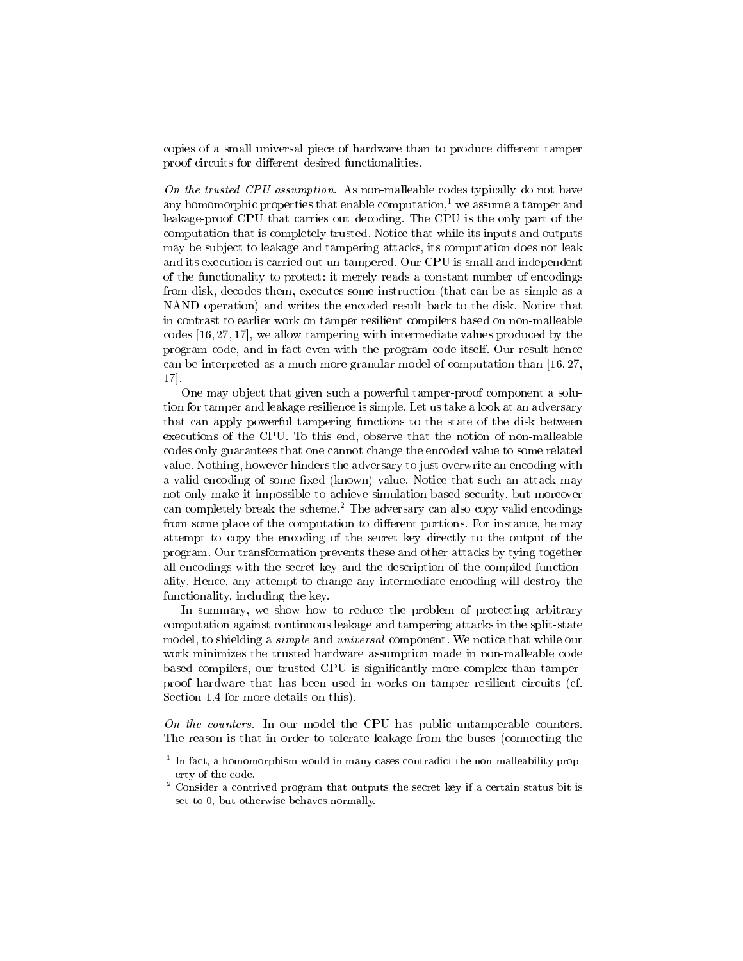copies of a small universal piece of hardware than to produce different tamper proof circuits for different desired functionalities.

On the trusted CPU assumption. As non-malleable codes typically do not have any homomorphic properties that enable computation,<sup>1</sup> we assume a tamper and leakage-proof CPU that carries out decoding. The CPU is the only part of the computation that is completely trusted. Notice that while its inputs and outputs may be subject to leakage and tampering attacks, its computation does not leak and its execution is carried out un-tampered. Our CPU is small and independent of the functionality to protect: it merely reads a constant number of encodings from disk, decodes them, executes some instruction (that can be as simple as a NAND operation) and writes the encoded result back to the disk. Notice that in contrast to earlier work on tamper resilient compilers based on non-malleable codes [16, 27, 17], we allow tampering with intermediate values produced by the program code, and in fact even with the program code itself. Our result hence can be interpreted as a much more granular model of computation than [16, 27, 17].

One may object that given such a powerful tamper-proof component a solution for tamper and leakage resilience is simple. Let us take a look at an adversary that can apply powerful tampering functions to the state of the disk between executions of the CPU. To this end, observe that the notion of non-malleable codes only guarantees that one cannot change the encoded value to some related value. Nothing, however hinders the adversary to just overwrite an encoding with a valid encoding of some fixed (known) value. Notice that such an attack may not only make it impossible to achieve simulation-based security, but moreover can completely break the scheme.<sup>2</sup> The adversary can also copy valid encodings from some place of the computation to different portions. For instance, he may attempt to copy the encoding of the secret key directly to the output of the program. Our transformation prevents these and other attacks by tying together all encodings with the secret key and the description of the compiled functionality. Hence, any attempt to change any intermediate encoding will destroy the functionality, including the key.

In summary, we show how to reduce the problem of protecting arbitrary computation against continuous leakage and tampering attacks in the split-state model, to shielding a simple and universal component. We notice that while our work minimizes the trusted hardware assumption made in non-malleable code based compilers, our trusted CPU is signicantly more complex than tamperproof hardware that has been used in works on tamper resilient circuits (cf. Section 1.4 for more details on this).

On the counters. In our model the CPU has public untamperable counters. The reason is that in order to tolerate leakage from the buses (connecting the

<sup>&</sup>lt;sup>1</sup> In fact, a homomorphism would in many cases contradict the non-malleability property of the code.

<sup>&</sup>lt;sup>2</sup> Consider a contrived program that outputs the secret key if a certain status bit is set to 0, but otherwise behaves normally.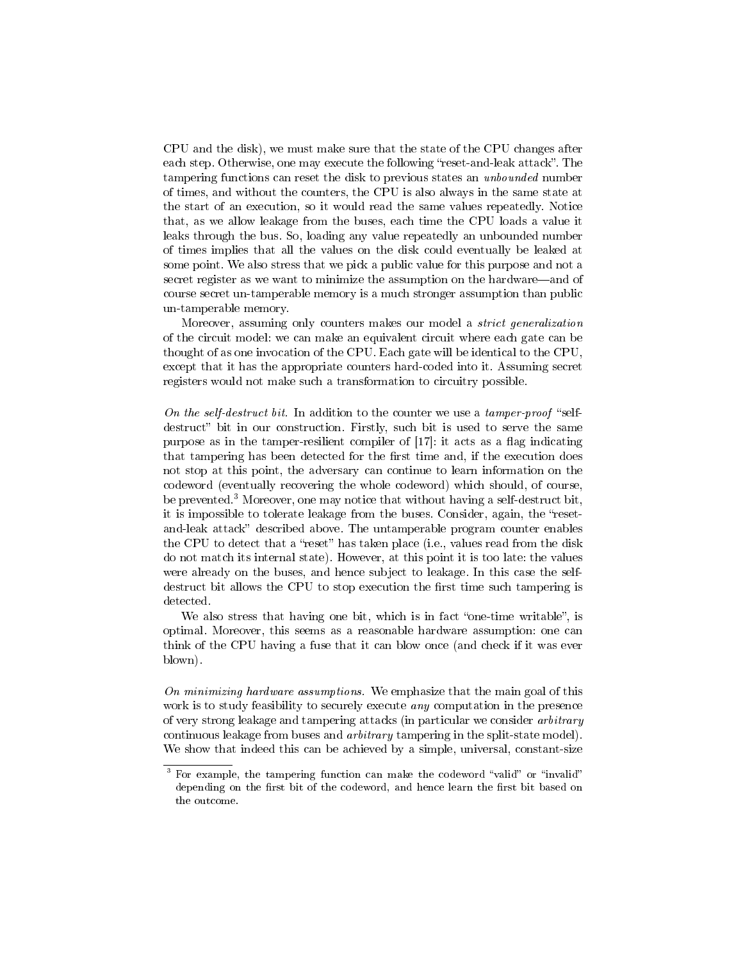CPU and the disk), we must make sure that the state of the CPU changes after each step. Otherwise, one may execute the following "reset-and-leak attack". The tampering functions can reset the disk to previous states an unbounded number of times, and without the counters, the CPU is also always in the same state at the start of an execution, so it would read the same values repeatedly. Notice that, as we allow leakage from the buses, each time the CPU loads a value it leaks through the bus. So, loading any value repeatedly an unbounded number of times implies that all the values on the disk could eventually be leaked at some point. We also stress that we pick a public value for this purpose and not a secret register as we want to minimize the assumption on the hardware—and of course secret un-tamperable memory is a much stronger assumption than public un-tamperable memory.

Moreover, assuming only counters makes our model a strict generalization of the circuit model: we can make an equivalent circuit where each gate can be thought of as one invocation of the CPU. Each gate will be identical to the CPU, except that it has the appropriate counters hard-coded into it. Assuming secret registers would not make such a transformation to circuitry possible.

On the self-destruct bit. In addition to the counter we use a tamper-proof "selfdestruct" bit in our construction. Firstly, such bit is used to serve the same purpose as in the tamper-resilient compiler of  $[17]$ : it acts as a flag indicating that tampering has been detected for the first time and, if the execution does not stop at this point, the adversary can continue to learn information on the codeword (eventually recovering the whole codeword) which should, of course, be prevented.<sup>3</sup> Moreover, one may notice that without having a self-destruct bit, it is impossible to tolerate leakage from the buses. Consider, again, the "resetand-leak attack" described above. The untamperable program counter enables the CPU to detect that a "reset" has taken place (i.e., values read from the disk do not match its internal state). However, at this point it is too late: the values were already on the buses, and hence subject to leakage. In this case the selfdestruct bit allows the CPU to stop execution the first time such tampering is detected.

We also stress that having one bit, which is in fact "one-time writable", is optimal. Moreover, this seems as a reasonable hardware assumption: one can think of the CPU having a fuse that it can blow once (and check if it was ever blown).

On minimizing hardware assumptions. We emphasize that the main goal of this work is to study feasibility to securely execute *any* computation in the presence of very strong leakage and tampering attacks (in particular we consider arbitrary continuous leakage from buses and arbitrary tampering in the split-state model). We show that indeed this can be achieved by a simple, universal, constant-size

 $3$  For example, the tampering function can make the codeword "valid" or "invalid" depending on the first bit of the codeword, and hence learn the first bit based on the outcome.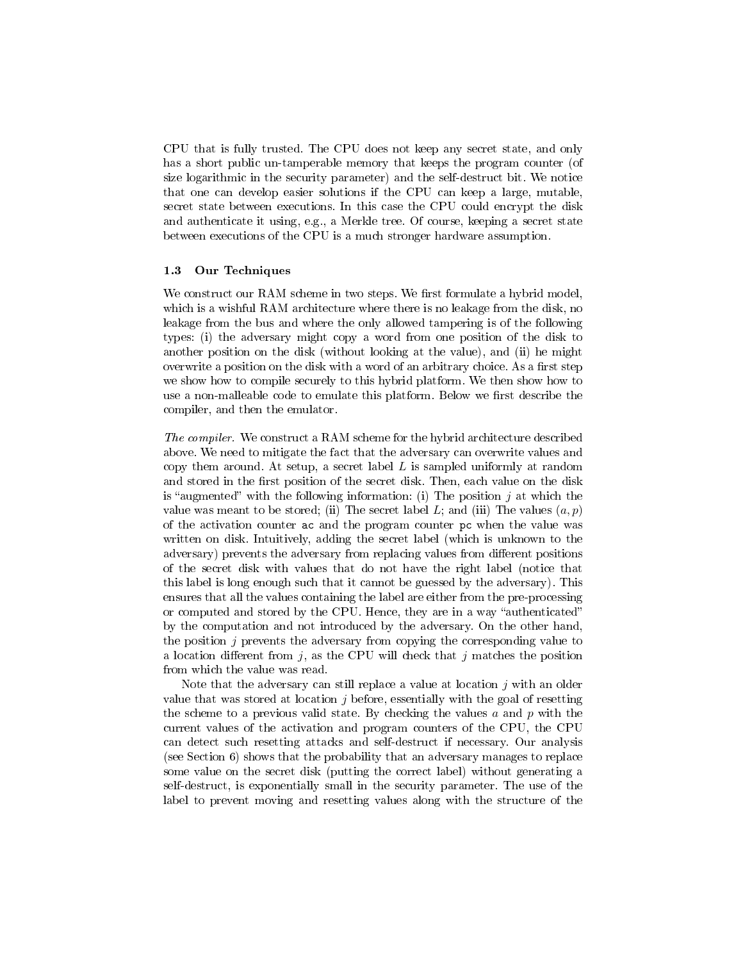CPU that is fully trusted. The CPU does not keep any secret state, and only has a short public un-tamperable memory that keeps the program counter (of size logarithmic in the security parameter) and the self-destruct bit. We notice that one can develop easier solutions if the CPU can keep a large, mutable, secret state between executions. In this case the CPU could encrypt the disk and authenticate it using, e.g., a Merkle tree. Of course, keeping a secret state between executions of the CPU is a much stronger hardware assumption.

#### 1.3 Our Techniques

We construct our RAM scheme in two steps. We first formulate a hybrid model, which is a wishful RAM architecture where there is no leakage from the disk, no leakage from the bus and where the only allowed tampering is of the following types: (i) the adversary might copy a word from one position of the disk to another position on the disk (without looking at the value), and (ii) he might overwrite a position on the disk with a word of an arbitrary choice. As a first step we show how to compile securely to this hybrid platform. We then show how to use a non-malleable code to emulate this platform. Below we first describe the compiler, and then the emulator.

The compiler. We construct a RAM scheme for the hybrid architecture described above. We need to mitigate the fact that the adversary can overwrite values and copy them around. At setup, a secret label  $L$  is sampled uniformly at random and stored in the first position of the secret disk. Then, each value on the disk is "augmented" with the following information: (i) The position  $j$  at which the value was meant to be stored; (ii) The secret label L; and (iii) The values  $(a, p)$ of the activation counter ac and the program counter pc when the value was written on disk. Intuitively, adding the secret label (which is unknown to the adversary) prevents the adversary from replacing values from different positions of the secret disk with values that do not have the right label (notice that this label is long enough such that it cannot be guessed by the adversary). This ensures that all the values containing the label are either from the pre-processing or computed and stored by the CPU. Hence, they are in a way "authenticated" by the computation and not introduced by the adversary. On the other hand, the position  $j$  prevents the adversary from copying the corresponding value to a location different from j, as the CPU will check that j matches the position from which the value was read.

Note that the adversary can still replace a value at location  $j$  with an older value that was stored at location  $j$  before, essentially with the goal of resetting the scheme to a previous valid state. By checking the values  $a$  and  $p$  with the current values of the activation and program counters of the CPU, the CPU can detect such resetting attacks and self-destruct if necessary. Our analysis (see Section 6) shows that the probability that an adversary manages to replace some value on the secret disk (putting the correct label) without generating a self-destruct, is exponentially small in the security parameter. The use of the label to prevent moving and resetting values along with the structure of the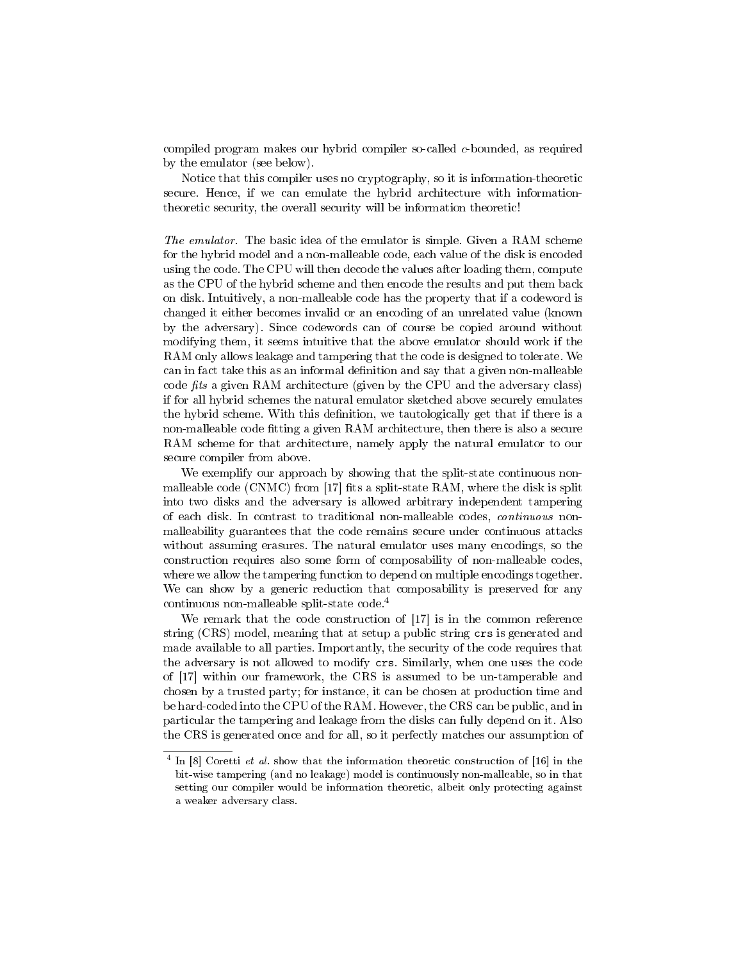compiled program makes our hybrid compiler so-called c-bounded, as required by the emulator (see below).

Notice that this compiler uses no cryptography, so it is information-theoretic secure. Hence, if we can emulate the hybrid architecture with informationtheoretic security, the overall security will be information theoretic!

The emulator. The basic idea of the emulator is simple. Given a RAM scheme for the hybrid model and a non-malleable code, each value of the disk is encoded using the code. The CPU will then decode the values after loading them, compute as the CPU of the hybrid scheme and then encode the results and put them back on disk. Intuitively, a non-malleable code has the property that if a codeword is changed it either becomes invalid or an encoding of an unrelated value (known by the adversary). Since codewords can of course be copied around without modifying them, it seems intuitive that the above emulator should work if the RAM only allows leakage and tampering that the code is designed to tolerate. We can in fact take this as an informal definition and say that a given non-malleable code fits a given RAM architecture (given by the CPU and the adversary class) if for all hybrid schemes the natural emulator sketched above securely emulates the hybrid scheme. With this definition, we tautologically get that if there is a non-malleable code fitting a given RAM architecture, then there is also a secure RAM scheme for that architecture, namely apply the natural emulator to our secure compiler from above.

We exemplify our approach by showing that the split-state continuous nonmalleable code (CNMC) from  $[17]$  fits a split-state RAM, where the disk is split into two disks and the adversary is allowed arbitrary independent tampering of each disk. In contrast to traditional non-malleable codes, continuous nonmalleability guarantees that the code remains secure under continuous attacks without assuming erasures. The natural emulator uses many encodings, so the construction requires also some form of composability of non-malleable codes, where we allow the tampering function to depend on multiple encodings together. We can show by a generic reduction that composability is preserved for any continuous non-malleable split-state code.<sup>4</sup>

We remark that the code construction of [17] is in the common reference string (CRS) model, meaning that at setup a public string crs is generated and made available to all parties. Importantly, the security of the code requires that the adversary is not allowed to modify crs. Similarly, when one uses the code of [17] within our framework, the CRS is assumed to be un-tamperable and chosen by a trusted party; for instance, it can be chosen at production time and be hard-coded into the CPU of the RAM. However, the CRS can be public, and in particular the tampering and leakage from the disks can fully depend on it. Also the CRS is generated once and for all, so it perfectly matches our assumption of

 $4$  In [8] Coretti *et al.* show that the information theoretic construction of [16] in the bit-wise tampering (and no leakage) model is continuously non-malleable, so in that setting our compiler would be information theoretic, albeit only protecting against a weaker adversary class.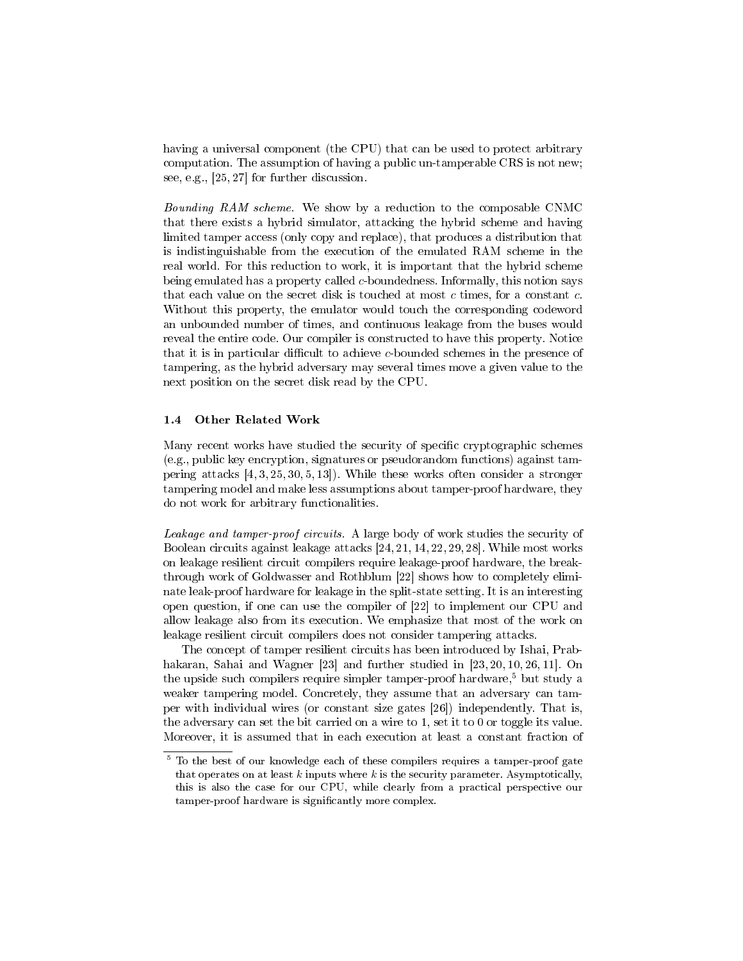having a universal component (the CPU) that can be used to protect arbitrary computation. The assumption of having a public un-tamperable CRS is not new; see, e.g., [25, 27] for further discussion.

Bounding RAM scheme. We show by a reduction to the composable CNMC that there exists a hybrid simulator, attacking the hybrid scheme and having limited tamper access (only copy and replace), that produces a distribution that is indistinguishable from the execution of the emulated RAM scheme in the real world. For this reduction to work, it is important that the hybrid scheme being emulated has a property called  $c$ -boundedness. Informally, this notion says that each value on the secret disk is touched at most  $c$  times, for a constant  $c$ . Without this property, the emulator would touch the corresponding codeword an unbounded number of times, and continuous leakage from the buses would reveal the entire code. Our compiler is constructed to have this property. Notice that it is in particular difficult to achieve  $c$ -bounded schemes in the presence of tampering, as the hybrid adversary may several times move a given value to the next position on the secret disk read by the CPU.

#### 1.4 Other Related Work

Many recent works have studied the security of specific cryptographic schemes (e.g., public key encryption, signatures or pseudorandom functions) against tampering attacks [4, 3, 25, 30, 5, 13]). While these works often consider a stronger tampering model and make less assumptions about tamper-proof hardware, they do not work for arbitrary functionalities.

Leakage and tamper-proof circuits. A large body of work studies the security of Boolean circuits against leakage attacks [24, 21, 14, 22, 29, 28]. While most works on leakage resilient circuit compilers require leakage-proof hardware, the breakthrough work of Goldwasser and Rothblum [22] shows how to completely eliminate leak-proof hardware for leakage in the split-state setting. It is an interesting open question, if one can use the compiler of [22] to implement our CPU and allow leakage also from its execution. We emphasize that most of the work on leakage resilient circuit compilers does not consider tampering attacks.

The concept of tamper resilient circuits has been introduced by Ishai, Prabhakaran, Sahai and Wagner [23] and further studied in [23, 20, 10, 26, 11]. On the upside such compilers require simpler tamper-proof hardware,<sup>5</sup> but study a weaker tampering model. Concretely, they assume that an adversary can tamper with individual wires (or constant size gates [26]) independently. That is, the adversary can set the bit carried on a wire to 1, set it to 0 or toggle its value. Moreover, it is assumed that in each execution at least a constant fraction of

<sup>5</sup> To the best of our knowledge each of these compilers requires a tamper-proof gate that operates on at least  $k$  inputs where  $k$  is the security parameter. Asymptotically, this is also the case for our CPU, while clearly from a practical perspective our tamper-proof hardware is signicantly more complex.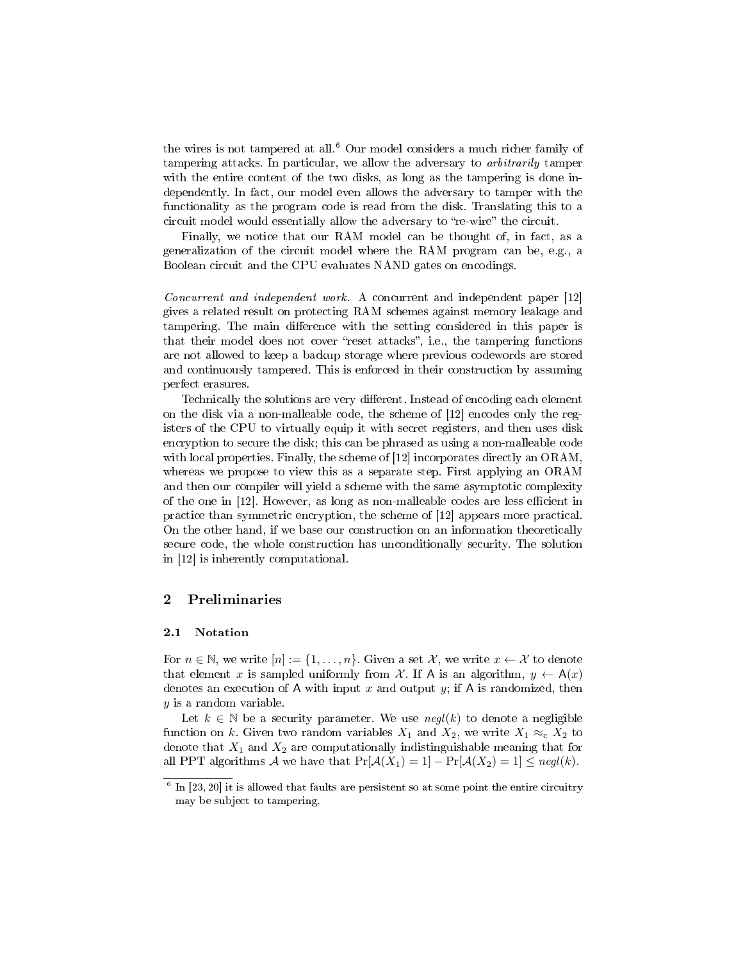the wires is not tampered at all.<sup>6</sup> Our model considers a much richer family of tampering attacks. In particular, we allow the adversary to arbitrarily tamper with the entire content of the two disks, as long as the tampering is done independently. In fact, our model even allows the adversary to tamper with the functionality as the program code is read from the disk. Translating this to a circuit model would essentially allow the adversary to "re-wire" the circuit.

Finally, we notice that our RAM model can be thought of, in fact, as a generalization of the circuit model where the RAM program can be, e.g., a Boolean circuit and the CPU evaluates NAND gates on encodings.

Concurrent and independent work. A concurrent and independent paper [12] gives a related result on protecting RAM schemes against memory leakage and tampering. The main difference with the setting considered in this paper is that their model does not cover "reset attacks", i.e., the tampering functions are not allowed to keep a backup storage where previous codewords are stored and continuously tampered. This is enforced in their construction by assuming perfect erasures.

Technically the solutions are very different. Instead of encoding each element on the disk via a non-malleable code, the scheme of [12] encodes only the registers of the CPU to virtually equip it with secret registers, and then uses disk encryption to secure the disk; this can be phrased as using a non-malleable code with local properties. Finally, the scheme of [12] incorporates directly an ORAM, whereas we propose to view this as a separate step. First applying an ORAM and then our compiler will yield a scheme with the same asymptotic complexity of the one in [12]. However, as long as non-malleable codes are less efficient in practice than symmetric encryption, the scheme of [12] appears more practical. On the other hand, if we base our construction on an information theoretically secure code, the whole construction has unconditionally security. The solution in [12] is inherently computational.

## 2 Preliminaries

#### 2.1 Notation

For  $n \in \mathbb{N}$ , we write  $[n] := \{1, \ldots, n\}$ . Given a set X, we write  $x \leftarrow X$  to denote that element x is sampled uniformly from X. If A is an algorithm,  $y \leftarrow A(x)$ denotes an execution of A with input x and output y; if A is randomized, then y is a random variable.

Let  $k \in \mathbb{N}$  be a security parameter. We use  $negl(k)$  to denote a negligible function on k. Given two random variables  $X_1$  and  $X_2$ , we write  $X_1 \approx_c X_2$  to denote that  $X_1$  and  $X_2$  are computationally indistinguishable meaning that for all PPT algorithms A we have that  $Pr[\mathcal{A}(X_1) = 1] - Pr[\mathcal{A}(X_2) = 1] \leq negl(k)$ .

 $6$  In [23, 20] it is allowed that faults are persistent so at some point the entire circuitry may be subject to tampering.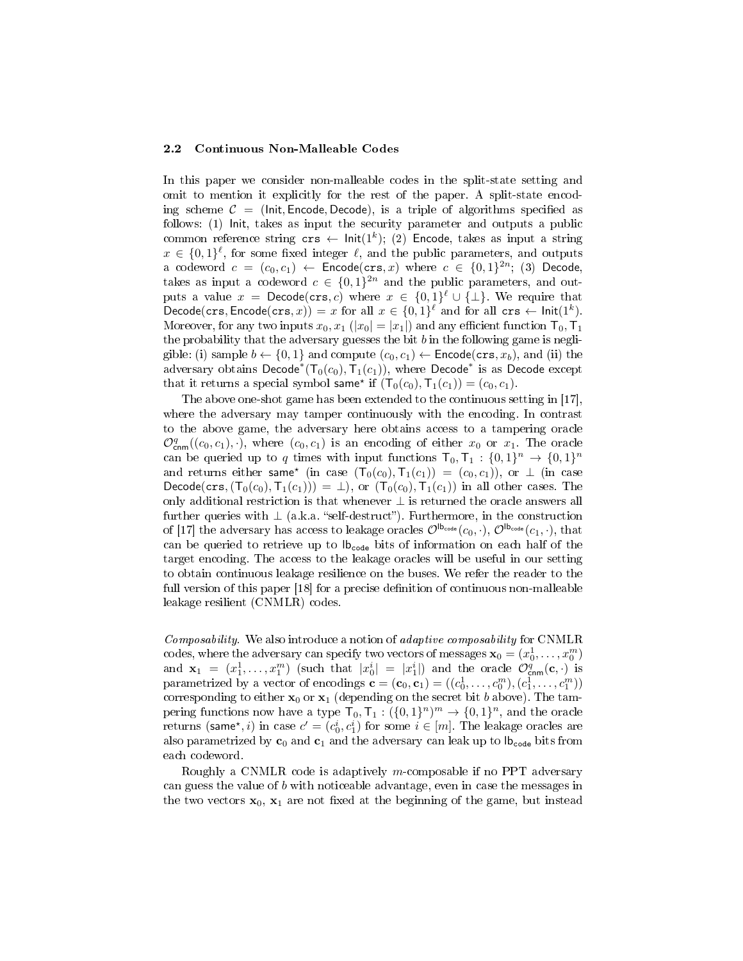#### 2.2 Continuous Non-Malleable Codes

In this paper we consider non-malleable codes in the split-state setting and omit to mention it explicitly for the rest of the paper. A split-state encoding scheme  $\mathcal{C} =$  (lnit, Encode, Decode), is a triple of algorithms specified as follows: (1) Init, takes as input the security parameter and outputs a public common reference string  $crs \leftarrow \textsf{Init}(1^k);$  (2) Encode, takes as input a string  $x \in \{0,1\}^{\ell}$ , for some fixed integer  $\ell$ , and the public parameters, and outputs a codeword  $c = (c_0, c_1) \leftarrow$  Encode $(\text{crs}, x)$  where  $c \in \{0, 1\}^{2n}$ ; (3) Decode, takes as input a codeword  $c \in \{0,1\}^{2n}$  and the public parameters, and outputs a value  $x = \text{Decode}(\text{crs}, c)$  where  $x \in \{0, 1\}^{\ell} \cup \{\perp\}$ . We require that Decode(crs, Encode(crs, x)) = x for all  $x \in \{0,1\}^{\ell}$  and for all crs  $\leftarrow$  lnit(1<sup>k</sup>). Moreover, for any two inputs  $x_0, x_1$  ( $|x_0| = |x_1|$ ) and any efficient function  $\mathsf{T}_0, \mathsf{T}_1$ the probability that the adversary guesses the bit  $b$  in the following game is negligible: (i) sample  $b \leftarrow \{0, 1\}$  and compute  $(c_0, c_1) \leftarrow$  **Encode**(crs,  $x_b$ ), and (ii) the adversary obtains Decode ${}^*(\mathsf{T}_0(c_0),\mathsf{T}_1(c_1)),$  where Decode ${}^*$  is as Decode except that it returns a special symbol same<sup>\*</sup> if  $(T_0(c_0), T_1(c_1)) = (c_0, c_1)$ .

The above one-shot game has been extended to the continuous setting in [17], where the adversary may tamper continuously with the encoding. In contrast to the above game, the adversary here obtains access to a tampering oracle  $\mathcal{O}^q_{\text{cnm}}((c_0, c_1), \cdot)$ , where  $(c_0, c_1)$  is an encoding of either  $x_0$  or  $x_1$ . The oracle can be queried up to q times with input functions  $\mathsf{T}_0, \mathsf{T}_1 : \{0,1\}^n \to \{0,1\}^n$ and returns either same\* (in case  $(T_0(c_0), T_1(c_1)) = (c_0, c_1)$ ), or  $\perp$  (in case Decode(crs, $(T_0(c_0),T_1(c_1))) = \perp$ ), or  $(T_0(c_0),T_1(c_1))$  in all other cases. The only additional restriction is that whenever  $\perp$  is returned the oracle answers all further queries with  $\perp$  (a.k.a. "self-destruct"). Furthermore, in the construction of [17] the adversary has access to leakage oracles  $\mathcal{O}^{\mathsf{lb}_{\mathsf{code}}}(c_0, \cdot), \mathcal{O}^{\mathsf{lb}_{\mathsf{code}}}(c_1, \cdot),$  that can be queried to retrieve up to  $\mathsf{lb}_{\mathsf{code}}$  bits of information on each half of the target encoding. The access to the leakage oracles will be useful in our setting to obtain continuous leakage resilience on the buses. We refer the reader to the full version of this paper [18] for a precise definition of continuous non-malleable leakage resilient (CNMLR) codes.

Composability. We also introduce a notion of adaptive composability for CNMLR codes, where the adversary can specify two vectors of messages  $\mathbf{x}_0 = (x_0^1, \dots, x_0^m)$ and  $\mathbf{x}_1 = (x_1^1, \ldots, x_1^m)$  (such that  $|x_0^i| = |x_1^i|$ ) and the oracle  $\mathcal{O}_{\mathsf{cnn}}^q(\mathbf{c}, \cdot)$  is parametrized by a vector of encodings  $\mathbf{c} = (\mathbf{c}_0, \mathbf{c}_1) = ((c_0^1, \dots, c_0^m), (c_1^1, \dots, c_1^m))$ corresponding to either  $x_0$  or  $x_1$  (depending on the secret bit b above). The tampering functions now have a type  $\mathsf{T}_0, \mathsf{T}_1: (\{0,1\}^n)^m \to \{0,1\}^n$ , and the oracle returns (same\*, $i$ ) in case  $c' = (c_0^i, c_1^i)$  for some  $i \in [m]$ . The leakage oracles are also parametrized by  $c_0$  and  $c_1$  and the adversary can leak up to  $lb_{code}$  bits from each codeword.

Roughly a CNMLR code is adaptively m-composable if no PPT adversary can guess the value of b with noticeable advantage, even in case the messages in the two vectors  $x_0$ ,  $x_1$  are not fixed at the beginning of the game, but instead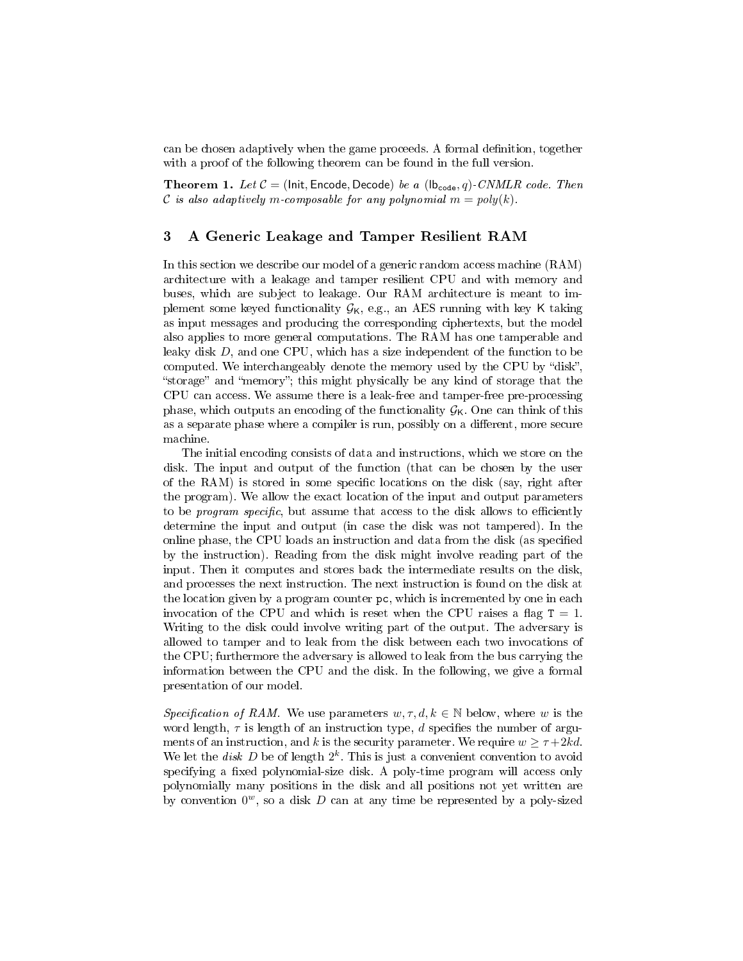can be chosen adaptively when the game proceeds. A formal definition, together with a proof of the following theorem can be found in the full version.

**Theorem 1.** Let  $C = (Init, \text{Encode}, \text{Decode})$  be a  $(lb_{code}, q)$ -CNMLR code. Then C is also adaptively m-composable for any polynomial  $m = poly(k)$ .

### 3 A Generic Leakage and Tamper Resilient RAM

In this section we describe our model of a generic random access machine (RAM) architecture with a leakage and tamper resilient CPU and with memory and buses, which are subject to leakage. Our RAM architecture is meant to implement some keyed functionality  $G_K$ , e.g., an AES running with key K taking as input messages and producing the corresponding ciphertexts, but the model also applies to more general computations. The RAM has one tamperable and leaky disk D, and one CPU, which has a size independent of the function to be computed. We interchangeably denote the memory used by the CPU by "disk", "storage" and "memory"; this might physically be any kind of storage that the CPU can access. We assume there is a leak-free and tamper-free pre-processing phase, which outputs an encoding of the functionality  $G_K$ . One can think of this as a separate phase where a compiler is run, possibly on a different, more secure machine.

The initial encoding consists of data and instructions, which we store on the disk. The input and output of the function (that can be chosen by the user of the RAM) is stored in some specific locations on the disk (say, right after the program). We allow the exact location of the input and output parameters to be *program specific*, but assume that access to the disk allows to efficiently determine the input and output (in case the disk was not tampered). In the online phase, the CPU loads an instruction and data from the disk (as specified by the instruction). Reading from the disk might involve reading part of the input. Then it computes and stores back the intermediate results on the disk, and processes the next instruction. The next instruction is found on the disk at the location given by a program counter pc, which is incremented by one in each invocation of the CPU and which is reset when the CPU raises a flag  $T = 1$ . Writing to the disk could involve writing part of the output. The adversary is allowed to tamper and to leak from the disk between each two invocations of the CPU; furthermore the adversary is allowed to leak from the bus carrying the information between the CPU and the disk. In the following, we give a formal presentation of our model.

Specification of RAM. We use parameters  $w, \tau, d, k \in \mathbb{N}$  below, where w is the word length,  $\tau$  is length of an instruction type, d specifies the number of arguments of an instruction, and k is the security parameter. We require  $w > \tau + 2kd$ . We let the *disk*  $D$  be of length  $2<sup>k</sup>$ . This is just a convenient convention to avoid specifying a fixed polynomial-size disk. A poly-time program will access only polynomially many positions in the disk and all positions not yet written are by convention  $0^w$ , so a disk D can at any time be represented by a poly-sized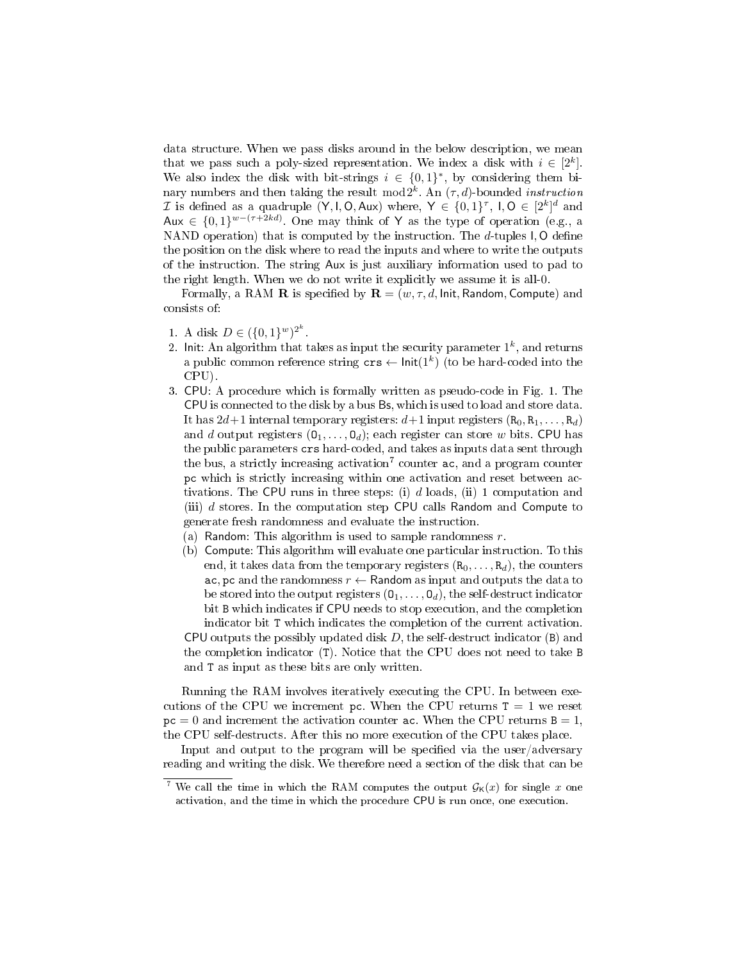data structure. When we pass disks around in the below description, we mean that we pass such a poly-sized representation. We index a disk with  $i \in [2^k]$ . We also index the disk with bit-strings  $i \in \{0,1\}^*$ , by considering them binary numbers and then taking the result  $\operatorname{mod} 2^k$ . An  $(\tau, d)$ -bounded *instruction*  $\mathcal I$  is defined as a quadruple  $({\sf Y},{\sf I},{\sf O},\mathsf{Aux})$  where,  ${\sf Y}\in\{0,1\}^{\tau},$   ${\sf I},{\sf O}\in[2^k]^d$  and Aux  $\in \{0,1\}^{w-(\tau+2kd)}$ . One may think of Y as the type of operation (e.g., a NAND operation) that is computed by the instruction. The  $d$ -tuples I, O define the position on the disk where to read the inputs and where to write the outputs of the instruction. The string Aux is just auxiliary information used to pad to the right length. When we do not write it explicitly we assume it is all-0.

Formally, a RAM **R** is specified by  $\mathbf{R} = (w, \tau, d, \text{Init}, \text{Random}, \text{Compute})$  and consists of:

- 1. A disk  $D \in (\{0, 1\}^w)^{2^k}$ .
- 2. Init: An algorithm that takes as input the security parameter  $1^k$ , and returns a public common reference string  $\textsf{crs} \leftarrow \textsf{Init}(1^k)$  (to be hard-coded into the CPU).
- 3. CPU: A procedure which is formally written as pseudo-code in Fig. 1. The CPU is connected to the disk by a bus Bs, which is used to load and store data. It has  $2d+1$  internal temporary registers:  $d+1$  input registers  $(R_0, R_1, \ldots, R_d)$ and d output registers  $(0_1, \ldots, 0_d)$ ; each register can store w bits. CPU has the public parameters crs hard-coded, and takes as inputs data sent through the bus, a strictly increasing activation<sup>7</sup> counter  $ac$ , and a program counter pc which is strictly increasing within one activation and reset between activations. The CPU runs in three steps: (i)  $d$  loads, (ii) 1 computation and (iii)  $d$  stores. In the computation step CPU calls Random and Compute to generate fresh randomness and evaluate the instruction.
	- (a) Random: This algorithm is used to sample randomness  $r$ .
	- (b) Compute: This algorithm will evaluate one particular instruction. To this end, it takes data from the temporary registers  $(R_0, \ldots, R_d)$ , the counters ac, pc and the randomness  $r \leftarrow$  Random as input and outputs the data to be stored into the output registers  $(0_1, \ldots, 0_d)$ , the self-destruct indicator bit B which indicates if CPU needs to stop execution, and the completion indicator bit T which indicates the completion of the current activation.

CPU outputs the possibly updated disk  $D$ , the self-destruct indicator  $(B)$  and the completion indicator (T). Notice that the CPU does not need to take B and T as input as these bits are only written.

Running the RAM involves iteratively executing the CPU. In between executions of the CPU we increment pc. When the CPU returns  $T = 1$  we reset  $pc = 0$  and increment the activation counter ac. When the CPU returns  $B = 1$ , the CPU self-destructs. After this no more execution of the CPU takes place.

Input and output to the program will be specified via the user/adversary reading and writing the disk. We therefore need a section of the disk that can be

<sup>&</sup>lt;sup>7</sup> We call the time in which the RAM computes the output  $\mathcal{G}_{\mathsf{K}}(x)$  for single x one activation, and the time in which the procedure CPU is run once, one execution.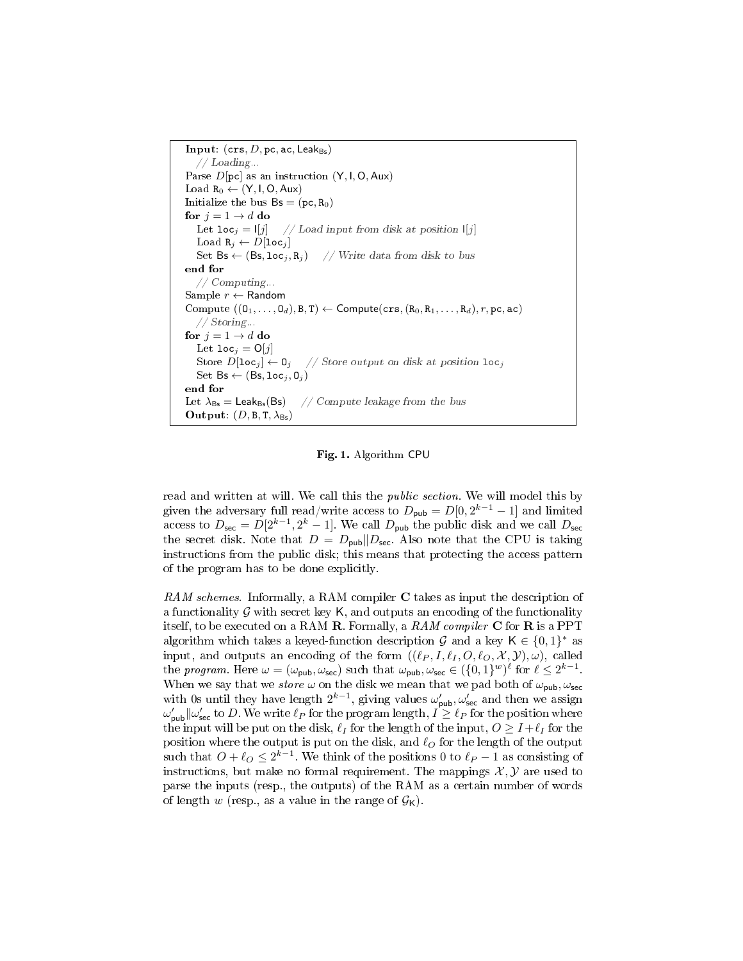Input:  $(crs, D, pc, ac, Leak_{Bs})$  $//$  Loading... Parse  $D[\text{pc}]$  as an instruction  $(Y, I, O, Aux)$ Load  $R_0 \leftarrow (Y, I, O, Aux)$ Initialize the bus  $Bs = (pc, R_0)$ for  $j = 1 \rightarrow d$  do Let  $\text{loc}_j = |j|$  // Load input from disk at position  $|j|$ Load  $\mathbf{R}_i \leftarrow D[\log_i]$ Set Bs  $\leftarrow$  (Bs, loc<sub>i</sub>, R<sub>i</sub>) // Write data from disk to bus end for // Computing... Sample  $r \leftarrow$  Random Compute  $((0_1, \ldots, 0_d), B, T) \leftarrow$  Compute(crs,  $(R_0, R_1, \ldots, R_d), r, pc, ac)$ ) // Storing... for  $j = 1 \rightarrow d$  do Let  $\text{loc}_i = \text{O}[i]$ Store  $D[\texttt{loc}_j] \leftarrow \texttt{O}_j$  // Store output on disk at position  $\texttt{loc}_j$ Set Bs  $\leftarrow$  (Bs, loc<sub>j</sub>, 0<sub>j</sub>) end for Let  $\lambda_{\text{Bs}} = \text{Leak}_{\text{Bs}}(\text{Bs})$  // Compute leakage from the bus Output:  $(D, B, T, \lambda_{Bs})$ 

Fig. 1. Algorithm CPU

read and written at will. We call this the public section. We will model this by given the adversary full read/write access to  $D_{\sf pub} = D[0, 2^{k-1} - 1]$  and limited access to  $D_{\text{sec}} = D[2^{k-1}, 2^k - 1]$ . We call  $D_{\text{pub}}$  the public disk and we call  $D_{\text{sec}}$ the secret disk. Note that  $D = D_{\text{pub}}||D_{\text{sec}}|$ . Also note that the CPU is taking instructions from the public disk; this means that protecting the access pattern of the program has to be done explicitly.

RAM schemes. Informally, a RAM compiler C takes as input the description of a functionality  $G$  with secret key K, and outputs an encoding of the functionality itself, to be executed on a RAM **R**. Formally, a  $RAM\ compiler\ C$  for **R** is a PPT algorithm which takes a keyed-function description  $\mathcal G$  and a key  $\mathsf K\in\{0,1\}^*$  as input, and outputs an encoding of the form  $((\ell_P, I, \ell_I, O, \ell_O, \mathcal{X}, \mathcal{Y}), \omega)$ , called the program. Here  $\omega = (\omega_{\text{pub}}, \omega_{\text{sec}})$  such that  $\omega_{\text{pub}}, \omega_{\text{sec}} \in (\{0, 1\}^w)^{\ell}$  for  $\ell \leq 2^{k-1}$ . When we say that we *store*  $\omega$  on the disk we mean that we pad both of  $\omega_{\text{pub}}, \omega_{\text{sec}}$ with 0s until they have length  $2^{k-1}$ , giving values  $\omega'_{\text{pub}}$ ,  $\omega'_{\text{sec}}$  and then we assign  $\omega'_\mathsf{pub}\|\omega'_\mathsf{sec}$  to  $D.$  We write  $\ell_P$  for the program length,  $I\geq \ell_P$  for the position where the input will be put on the disk,  $\ell_I$  for the length of the input,  $O \geq I + \ell_I$  for the position where the output is put on the disk, and  $\ell_{\mathcal{O}}$  for the length of the output such that  $O + \ell_O \leq 2^{k-1}$ . We think of the positions 0 to  $\ell_P - 1$  as consisting of instructions, but make no formal requirement. The mappings  $\mathcal{X}, \mathcal{Y}$  are used to parse the inputs (resp., the outputs) of the RAM as a certain number of words of length w (resp., as a value in the range of  $\mathcal{G}_{\mathsf{K}}$ ).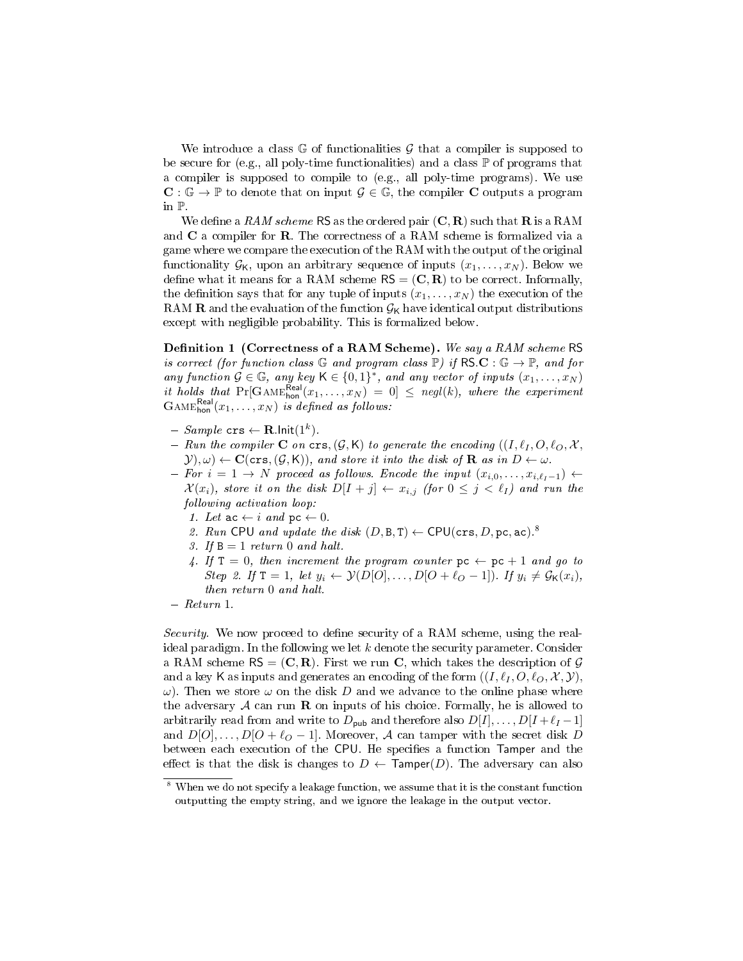We introduce a class  $\mathbb G$  of functionalities  $\mathcal G$  that a compiler is supposed to be secure for (e.g., all poly-time functionalities) and a class  $\mathbb P$  of programs that a compiler is supposed to compile to (e.g., all poly-time programs). We use  $\mathbf{C} : \mathbb{G} \to \mathbb{P}$  to denote that on input  $\mathcal{G} \in \mathbb{G}$ , the compiler **C** outputs a program in P.

We define a  $RAM$  scheme RS as the ordered pair  $(C, R)$  such that R is a RAM and C a compiler for R. The correctness of a RAM scheme is formalized via a game where we compare the execution of the RAM with the output of the original functionality  $\mathcal{G}_K$ , upon an arbitrary sequence of inputs  $(x_1, \ldots, x_N)$ . Below we define what it means for a RAM scheme  $\mathsf{RS} = (\mathbf{C}, \mathbf{R})$  to be correct. Informally, the definition says that for any tuple of inputs  $(x_1, \ldots, x_N)$  the execution of the RAM **R** and the evaluation of the function  $G_K$  have identical output distributions except with negligible probability. This is formalized below.

**Definition 1** (Correctness of a RAM Scheme). We say a RAM scheme RS is correct (for function class G and program class  $\mathbb{P}$ ) if RS.C :  $\mathbb{G} \to \mathbb{P}$ , and for any function  $\mathcal{G} \in \mathbb{G}$ , any key  $\mathsf{K} \in \{0,1\}^*$ , and any vector of inputs  $(x_1, \ldots, x_N)$ it holds that  $Pr[\text{GAME}_{\text{hon}}^{\text{Real}}(x_1, ..., x_N)] = 0] \leq negl(k)$ , where the experiment  $\text{GAME}_{\text{hon}}^{\text{Real}}(x_1, \ldots, x_N)$  is defined as follows:

- $-$  Sample  $\textsf{crs} \leftarrow \textbf{R}.\textsf{Init}(1^k)$ .
- Run the compiler C on crs,  $(\mathcal{G}, \mathsf{K})$  to generate the encoding  $((I, \ell_I, O, \ell_O, \mathcal{X},$  $(\mathcal{Y})$ ,  $\omega$ )  $\leftarrow$  C(crs, (G, K)), and store it into the disk of **R** as in  $D \leftarrow \omega$ .
- $F$  For  $i = 1 \rightarrow N$  proceed as follows. Encode the input  $(x_{i,0}, \ldots, x_{i,\ell_I-1})$  ←  $\mathcal{X}(x_i)$ , store it on the disk  $D[I + j] \leftarrow x_{i,j}$  (for  $0 \leq j \leq \ell_I$ ) and run the following activation loop:
	- 1. Let  $ac \leftarrow i$  and  $pc \leftarrow 0$ .
	- 2. Run CPU and update the disk  $(D, B, T) \leftarrow CPU(crs, D, pc, ac)^{8}$
	- 3. If  $B = 1$  return 0 and halt.
	- 4. If  $T = 0$ , then increment the program counter  $pc \leftarrow pc + 1$  and go to Step 2. If  $T = 1$ , let  $y_i \leftarrow \mathcal{Y}(D[O], \ldots, D[O + \ell_O - 1])$ . If  $y_i \neq \mathcal{G}_{\mathsf{K}}(x_i)$ , then return 0 and halt.

Security. We now proceed to define security of a RAM scheme, using the realideal paradigm. In the following we let  $k$  denote the security parameter. Consider a RAM scheme  $\mathsf{RS} = (\mathbf{C}, \mathbf{R})$ . First we run C, which takes the description of G and a key K as inputs and generates an encoding of the form  $((I, \ell_I, O, \ell_O, \mathcal{X}, \mathcal{Y}),$  $ω$ ). Then we store  $ω$  on the disk D and we advance to the online phase where the adversary  $A$  can run  $\bf{R}$  on inputs of his choice. Formally, he is allowed to arbitrarily read from and write to  $D_{\text{pub}}$  and therefore also  $D[I], \ldots, D[I+\ell_I-1]$ and  $D[0], \ldots, D[0 + \ell_0 - 1]$ . Moreover, A can tamper with the secret disk D between each execution of the CPU. He specifies a function Tamper and the effect is that the disk is changes to  $D \leftarrow$  Tamper(D). The adversary can also

 $-$  Return 1.

 $8\,$  When we do not specify a leakage function, we assume that it is the constant function outputting the empty string, and we ignore the leakage in the output vector.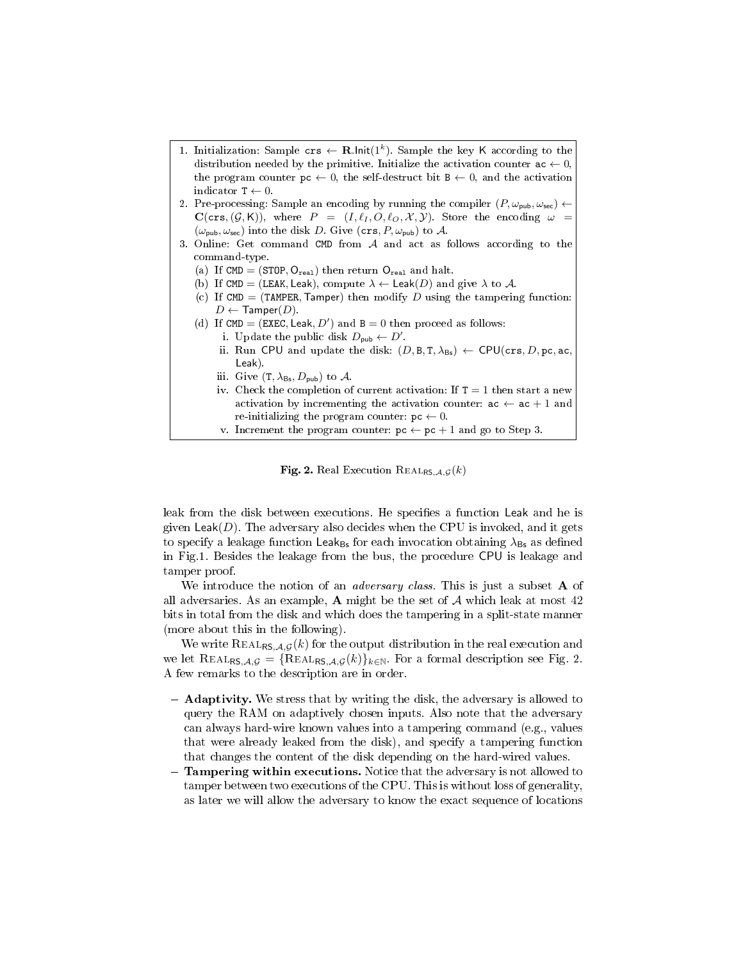- 1. Initialization: Sample  $\mathbf{crs} \leftarrow \mathbf{R}$ . Init $(1^k)$ . Sample the key K according to the distribution needed by the primitive. Initialize the activation counter  $ac \leftarrow 0$ , the program counter  $pc \leftarrow 0$ , the self-destruct bit  $B \leftarrow 0$ , and the activation indicator  $T \leftarrow 0$ .
- 2. Pre-processing: Sample an encoding by running the compiler  $(P, \omega_{\text{pub}}, \omega_{\text{sec}})$   $\leftarrow$  $C(crs, (\mathcal{G}, K))$ , where  $P = (I, \ell_I, O, \ell_O, \mathcal{X}, \mathcal{Y})$ . Store the encoding  $\omega =$  $(\omega_{\text{pub}}, \omega_{\text{sec}})$  into the disk D. Give  $(\text{crs}, P, \omega_{\text{pub}})$  to A.
- 3. Online: Get command CMD from A and act as follows according to the command-type.
	- (a) If  $\texttt{CMD} = (\texttt{STOP}, \texttt{O}_{\texttt{real}})$  then return  $\texttt{O}_{\texttt{real}}$  and halt.
	- (b) If CMD = (LEAK, Leak), compute  $\lambda \leftarrow$  Leak(D) and give  $\lambda$  to A.
	- (c) If CMD = (TAMPER, Tamper) then modify D using the tampering function:  $D \leftarrow$  Tamper(D).
	- (d) If  $\texttt{CMD} = (\texttt{EXEC}, \texttt{Leak}, D')$  and  $B = 0$  then proceed as follows:
		- i. Update the public disk  $D_{\text{pub}} \leftarrow D'$ .
		- ii. Run CPU and update the disk:  $(D, B, T, \lambda_{Bs}) \leftarrow CPU(crs, D, pc, ac,$ Leak).
		- iii. Give  $(T, \lambda_{\text{Bs}}, D_{\text{pub}})$  to A.
		- iv. Check the completion of current activation: If  $T = 1$  then start a new activation by incrementing the activation counter:  $ac \leftarrow ac + 1$  and re-initializing the program counter:  $pc \leftarrow 0$ .
		- v. Increment the program counter:  $pc \leftarrow pc + 1$  and go to Step 3.

Fig. 2. Real Execution REAL<sub>RS, A, G</sub>(k)

leak from the disk between executions. He specifies a function Leak and he is given  $\textsf{Leak}(D)$ . The adversary also decides when the CPU is invoked, and it gets to specify a leakage function Leak<sub>Bs</sub> for each invocation obtaining  $\lambda_{\text{Bs}}$  as defined in Fig.1. Besides the leakage from the bus, the procedure CPU is leakage and tamper proof.

We introduce the notion of an *adversary class*. This is just a subset  $\bf{A}$  of all adversaries. As an example,  $A$  might be the set of  $A$  which leak at most 42 bits in total from the disk and which does the tampering in a split-state manner (more about this in the following).

We write  $REAL_{RS,A,G}(k)$  for the output distribution in the real execution and we let REAL<sub>RS</sub>,  $A, G = \{R_{EALRS,A,G}(k)\}_{k \in \mathbb{N}}$ . For a formal description see Fig. 2. A few remarks to the description are in order.

- **Adaptivity.** We stress that by writing the disk, the adversary is allowed to query the RAM on adaptively chosen inputs. Also note that the adversary can always hard-wire known values into a tampering command (e.g., values that were already leaked from the disk), and specify a tampering function that changes the content of the disk depending on the hard-wired values.
- $-$  Tampering within executions. Notice that the adversary is not allowed to tamper between two executions of the CPU. This is without loss of generality, as later we will allow the adversary to know the exact sequence of locations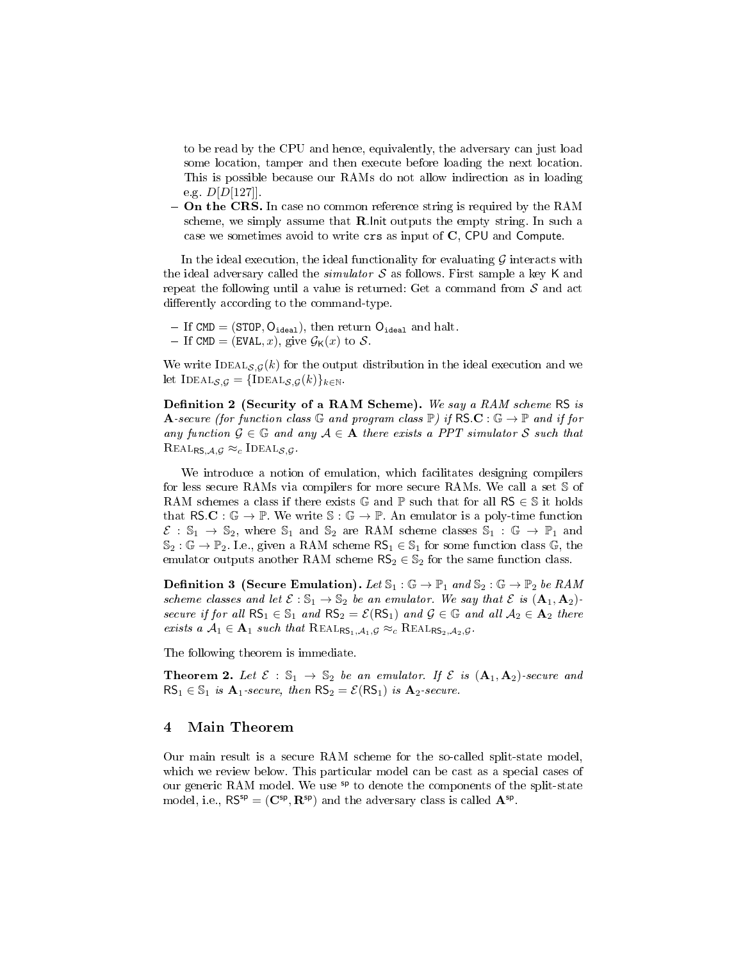to be read by the CPU and hence, equivalently, the adversary can just load some location, tamper and then execute before loading the next location. This is possible because our RAMs do not allow indirection as in loading e.g.  $D[D[127]]$ 

 $-$  On the CRS. In case no common reference string is required by the RAM scheme, we simply assume that **R**.Init outputs the empty string. In such a case we sometimes avoid to write crs as input of C, CPU and Compute.

In the ideal execution, the ideal functionality for evaluating  $G$  interacts with the ideal adversary called the *simulator*  $S$  as follows. First sample a key K and repeat the following until a value is returned: Get a command from  $S$  and act differently according to the command-type.

- If CMD =  $(STOP, O_{ideal})$ , then return  $O_{ideal}$  and halt. - If CMD = (EVAL, x), give  $\mathcal{G}_{\mathsf{K}}(x)$  to  $\mathcal{S}$ .

We write IDEAL<sub>S, G</sub>(k) for the output distribution in the ideal execution and we let IDEAL<sub>S, G</sub> = {IDEAL<sub>S, G</sub>(k)}<sub>k∈N</sub>.

Definition 2 (Security of a RAM Scheme). We say a RAM scheme RS is **A**-secure (for function class G and program class  $\mathbb{P}$ ) if RS.C :  $\mathbb{G} \to \mathbb{P}$  and if for any function  $G \in \mathbb{G}$  and any  $A \in \mathbb{A}$  there exists a PPT simulator S such that  $REAL_{RS,\mathcal{A},\mathcal{G}} \approx_c \text{IDEAL}_{\mathcal{S},\mathcal{G}}$ .

We introduce a notion of emulation, which facilitates designing compilers for less secure RAMs via compilers for more secure RAMs. We call a set S of RAM schemes a class if there exists  $\mathbb{G}$  and  $\mathbb{P}$  such that for all RS  $\in \mathbb{S}$  it holds that RS.C :  $\mathbb{G} \to \mathbb{P}$ . We write  $\mathbb{S} : \mathbb{G} \to \mathbb{P}$ . An emulator is a poly-time function  $\mathcal{E}: \mathbb{S}_1 \to \mathbb{S}_2$ , where  $\mathbb{S}_1$  and  $\mathbb{S}_2$  are RAM scheme classes  $\mathbb{S}_1: \mathbb{G} \to \mathbb{P}_1$  and  $\mathbb{S}_2 : \mathbb{G} \to \mathbb{P}_2$ . I.e., given a RAM scheme  $\mathsf{RS}_1 \in \mathbb{S}_1$  for some function class  $\mathbb{G}$ , the emulator outputs another RAM scheme  $\mathsf{RS}_2 \in \mathbb{S}_2$  for the same function class.

**Definition 3** (Secure Emulation). Let  $\mathbb{S}_1 : \mathbb{G} \to \mathbb{P}_1$  and  $\mathbb{S}_2 : \mathbb{G} \to \mathbb{P}_2$  be RAM scheme classes and let  $\mathcal{E}: \mathbb{S}_1 \to \mathbb{S}_2$  be an emulator. We say that  $\mathcal{E}$  is  $(\mathbf{A}_1, \mathbf{A}_2)$ secure if for all  $RS_1 \in \mathbb{S}_1$  and  $RS_2 = \mathcal{E}(RS_1)$  and  $\mathcal{G} \in \mathbb{G}$  and all  $\mathcal{A}_2 \in \mathbf{A}_2$  there exists a  $A_1 \in \mathbf{A}_1$  such that  $\text{REAL}_{\mathsf{RS}_1,\mathcal{A}_1,\mathcal{G}} \approx_c \text{REAL}_{\mathsf{RS}_2,\mathcal{A}_2,\mathcal{G}}$ 

The following theorem is immediate.

**Theorem 2.** Let  $\mathcal{E} : \mathbb{S}_1 \to \mathbb{S}_2$  be an emulator. If  $\mathcal{E}$  is  $(\mathbf{A}_1, \mathbf{A}_2)$ -secure and  $\mathsf{RS}_1 \in \mathbb{S}_1$  is  $\mathbf{A}_1$ -secure, then  $\mathsf{RS}_2 = \mathcal{E}(\mathsf{RS}_1)$  is  $\mathbf{A}_2$ -secure.

## 4 Main Theorem

Our main result is a secure RAM scheme for the so-called split-state model, which we review below. This particular model can be cast as a special cases of our generic RAM model. We use <sup>sp</sup> to denote the components of the split-state model, i.e.,  $\mathsf{RS}^{\mathsf{sp}} = (\mathbf{C}^{\mathsf{sp}}, \mathbf{R}^{\mathsf{sp}})$  and the adversary class is called  $\mathbf{A}^{\mathsf{sp}}$ .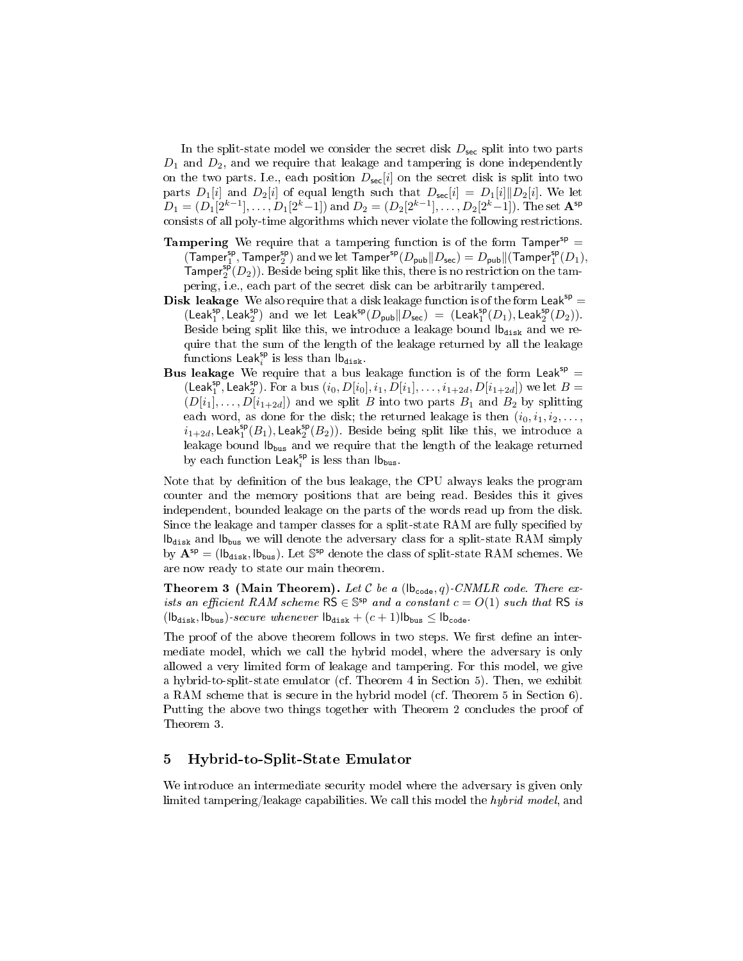In the split-state model we consider the secret disk  $D_{\text{sec}}$  split into two parts  $D_1$  and  $D_2$ , and we require that leakage and tampering is done independently on the two parts. I.e., each position  $D_{\text{sec}}[i]$  on the secret disk is split into two parts  $D_1[i]$  and  $D_2[i]$  of equal length such that  $D_{\mathsf{sec}}[i] = D_1[i]||D_2[i]$ . We let  $D_1 = (D_1[2^{k-1}], \ldots, D_1[2^k-1])$  and  $D_2 = (D_2[2^{k-1}], \ldots, D_2[2^k-1])$ . The set  ${\bf A}^{\sf sp}$ consists of all poly-time algorithms which never violate the following restrictions.

- **Tampering** We require that a tampering function is of the form  $\text{Tamper}^{\text{sp}} =$  $(\mathsf{Tamper}_1^{\mathsf{sp}}, \mathsf{Tamper}_2^{\mathsf{sp}})$  and we let  $\mathsf{Tamper}_1^{\mathsf{sp}}(D_{\mathsf{pub}} \| D_{\mathsf{sec}}) = D_{\mathsf{pub}} \|(\mathsf{Tamper}_1^{\mathsf{sp}}(D_1),$ Tamper $_2^{\mathsf{sp}}(D_2)$ ). Beside being split like this, there is no restriction on the tampering, i.e., each part of the secret disk can be arbitrarily tampered.
- **Disk leakage** We also require that a disk leakage function is of the form Leak<sup>sp</sup> =  $(\mathsf{Leak}_1^{\mathsf{sp}}, \mathsf{Leak}_2^{\mathsf{sp}})$  and we let  $\mathsf{Leak}^{\mathsf{sp}}(D_{\mathsf{pub}} \| D_{\mathsf{sec}}) = (\mathsf{Leak}_1^{\mathsf{sp}}(D_1), \mathsf{Leak}_2^{\mathsf{sp}}(D_2)).$ Beside being split like this, we introduce a leakage bound  $\mathsf{lb}_{\text{disk}}$  and we require that the sum of the length of the leakage returned by all the leakage functions Leak $_i^{\mathsf{sp}}$  is less than  $\bar{\mathsf{b}}_{\mathtt{disk}}$ .
- **Bus leakage** We require that a bus leakage function is of the form Leak<sup>sp</sup> =  $(\mathsf{Leak}_1^{\mathsf{sp}}, \mathsf{Leak}_2^{\mathsf{sp}})$ . For a bus  $(i_0, D[i_0], i_1, D[i_1], \ldots, i_{1+2d}, D[i_{1+2d}])$  we let  $B =$  $(D[i_1], \ldots, D[i_{1+2d}]$  and we split B into two parts  $B_1$  and  $B_2$  by splitting each word, as done for the disk; the returned leakage is then  $(i_0, i_1, i_2, \ldots, i_n)$  $i_{1+2d}$ , Leak $_1^{\mathsf{sp}}(B_1)$ , Leak $_2^{\mathsf{sp}}(B_2)$ ). Beside being split like this, we introduce a leakage bound  $lb_{bus}$  and we require that the length of the leakage returned by each function  $\mathsf{Leak}_i^{\mathsf{sp}}$  is less than  $\mathsf{lb}_\mathsf{bus}.$

Note that by definition of the bus leakage, the CPU always leaks the program counter and the memory positions that are being read. Besides this it gives independent, bounded leakage on the parts of the words read up from the disk. Since the leakage and tamper classes for a split-state RAM are fully specified by  $\mathsf{lb}_{\text{disk}}$  and  $\mathsf{lb}_{\text{bus}}$  we will denote the adversary class for a split-state RAM simply by  $\mathbf{A}^{\text{sp}} = (\mathsf{lb}_{\text{disk}}, \mathsf{lb}_{\text{bus}})$ . Let  $\mathbb{S}^{\text{sp}}$  denote the class of split-state RAM schemes. We are now ready to state our main theorem.

**Theorem 3 (Main Theorem).** Let C be a ( $\mathbf{b}_{\text{code}}$ , q)-CNMLR code. There exists an efficient RAM scheme  $\overline{RS} \in \mathbb{S}^{sp}$  and a constant  $c = O(1)$  such that RS is  $(\mathsf{lb_{disk}}, \mathsf{lb_{bus}})$ -secure whenever  $\mathsf{lb_{disk}} + (c+1) \mathsf{lb_{bus}} \leq \mathsf{lb_{code}}$ 

The proof of the above theorem follows in two steps. We first define an intermediate model, which we call the hybrid model, where the adversary is only allowed a very limited form of leakage and tampering. For this model, we give a hybrid-to-split-state emulator (cf. Theorem 4 in Section 5). Then, we exhibit a RAM scheme that is secure in the hybrid model (cf. Theorem 5 in Section 6). Putting the above two things together with Theorem 2 concludes the proof of Theorem 3.

## 5 Hybrid-to-Split-State Emulator

We introduce an intermediate security model where the adversary is given only limited tampering/leakage capabilities. We call this model the hybrid model, and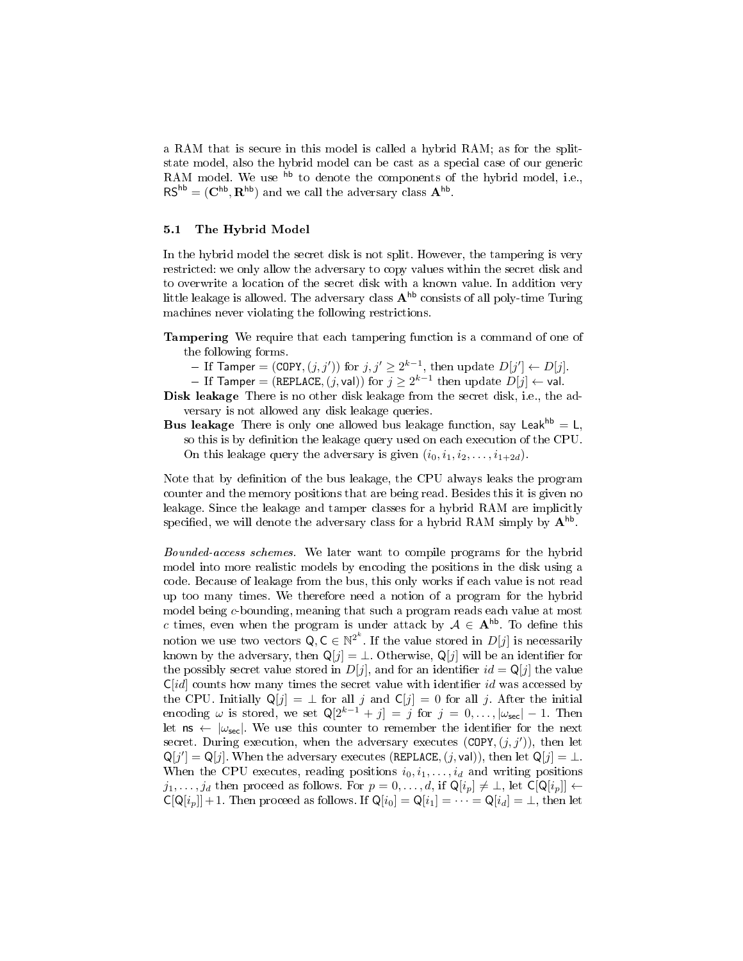a RAM that is secure in this model is called a hybrid RAM; as for the splitstate model, also the hybrid model can be cast as a special case of our generic RAM model. We use <sup>hb</sup> to denote the components of the hybrid model, i.e.,  $\mathsf{RS}^{\mathsf{hb}} = (\mathbf{C}^{\mathsf{hb}}, \mathbf{R}^{\mathsf{hb}})$  and we call the adversary class  $\mathbf{A}^{\mathsf{hb}}$ .

## 5.1 The Hybrid Model

In the hybrid model the secret disk is not split. However, the tampering is very restricted: we only allow the adversary to copy values within the secret disk and to overwrite a location of the secret disk with a known value. In addition very little leakage is allowed. The adversary class  $A^{hb}$  consists of all poly-time Turing machines never violating the following restrictions.

- Tampering We require that each tampering function is a command of one of the following forms.
	- If Tamper =  $(\text{CDPY}, (j, j'))$  for  $j, j' \geq 2^{k-1}$ , then update  $D[j'] \leftarrow D[j]$ .
	- − If Tamper = (REPLACE,  $(j, val)$ ) for  $j \geq 2^{k-1}$  then update  $D[j] \leftarrow$  val.
- Disk leakage There is no other disk leakage from the secret disk, i.e., the adversary is not allowed any disk leakage queries.

**Bus leakage** There is only one allowed bus leakage function, say Leak<sup>hb</sup> = L, so this is by definition the leakage query used on each execution of the CPU. On this leakage query the adversary is given  $(i_0, i_1, i_2, \ldots, i_{1+2d})$ .

Note that by definition of the bus leakage, the CPU always leaks the program counter and the memory positions that are being read. Besides this it is given no leakage. Since the leakage and tamper classes for a hybrid RAM are implicitly specified, we will denote the adversary class for a hybrid RAM simply by  $A^{bb}$ .

Bounded-access schemes. We later want to compile programs for the hybrid model into more realistic models by encoding the positions in the disk using a code. Because of leakage from the bus, this only works if each value is not read up too many times. We therefore need a notion of a program for the hybrid model being  $c$ -bounding, meaning that such a program reads each value at most c times, even when the program is under attack by  $A \in A<sup>hb</sup>$ . To define this notion we use two vectors  $Q, C \in \mathbb{N}^{2^k}$ . If the value stored in  $D[j]$  is necessarily known by the adversary, then  $\mathsf{Q}[j] = \bot$ . Otherwise,  $\mathsf{Q}[j]$  will be an identifier for the possibly secret value stored in  $D[j]$ , and for an identifier  $id = Q[j]$  the value  $C(id]$  counts how many times the secret value with identifier id was accessed by the CPU. Initially  $Q[j] = \perp$  for all j and  $C[j] = 0$  for all j. After the initial encoding  $\omega$  is stored, we set  $\mathbb{Q}[2^{k-1} + j] = j$  for  $j = 0, \ldots, |\omega_{\text{sec}}| - 1$ . Then let ns  $\leftarrow |\omega_{\text{sec}}|$ . We use this counter to remember the identifier for the next secret. During execution, when the adversary executes  $(COPY, (j, j'))$ , then let  $Q[j'] = Q[j]$ . When the adversary executes (REPLACE,  $(j, val)$ ), then let  $Q[j] = \bot$ . When the CPU executes, reading positions  $i_0, i_1, \ldots, i_d$  and writing positions  $j_1, \ldots, j_d$  then proceed as follows. For  $p = 0, \ldots, d$ , if  $\mathsf{Q}[i_p] \neq \bot$ , let  $\mathsf{C}[\mathsf{Q}[i_p]] \leftarrow$  $C[Q[i_p]]+1$ . Then proceed as follows. If  $Q[i_0] = Q[i_1] = \cdots = Q[i_d] = \perp$ , then let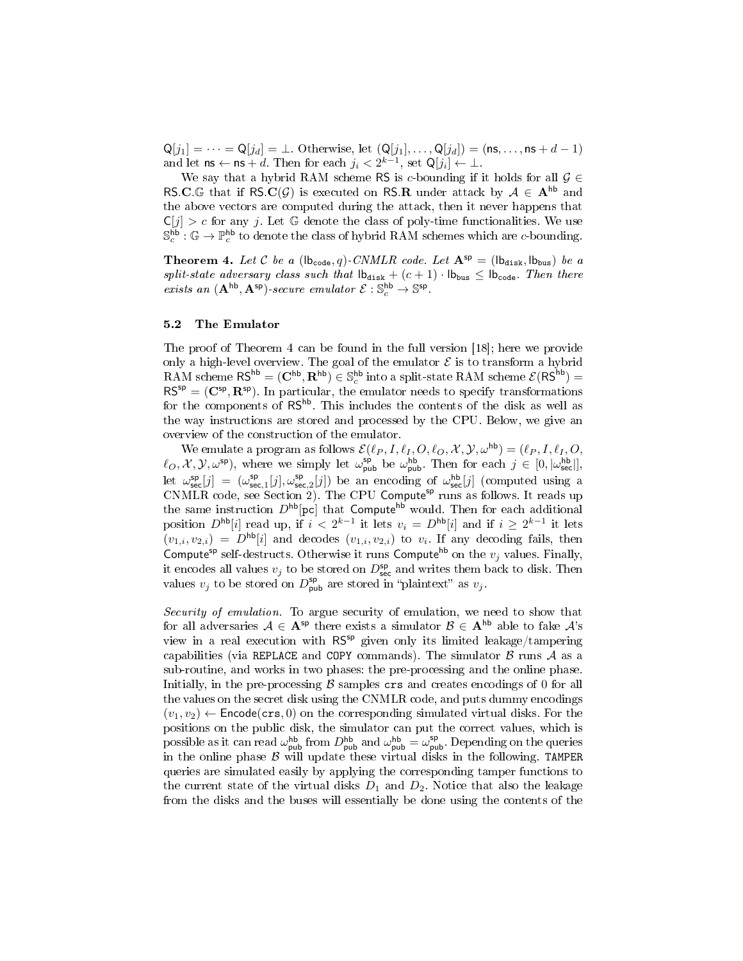$Q[j_1] = \cdots = Q[j_d] = \bot$ . Otherwise, let  $(Q[j_1], \ldots, Q[j_d]) = (ns, \ldots, ns + d - 1)$ and let  $\mathsf{ns} \leftarrow \mathsf{ns} + d$ . Then for each  $j_i < 2^{k-1}$ , set  $\mathsf{Q}[j_i] \leftarrow \bot$ .

We say that a hybrid RAM scheme RS is c-bounding if it holds for all  $\mathcal{G} \in$ RS.C.G that if RS.C(G) is executed on RS.R under attack by  $A \in A^{hb}$  and the above vectors are computed during the attack, then it never happens that  $C[j] > c$  for any j. Let G denote the class of poly-time functionalities. We use  $\mathbb{S}_c^{\dot{\text{hb}}}$ :  $\mathbb{G} \to \mathbb{P}_c^{\text{hb}}$  to denote the class of hybrid RAM schemes which are c-bounding.

**Theorem 4.** Let C be a ( $\mathsf{lb}_{\text{code}}, q$ )-CNMLR code. Let  $\mathbf{A}^{\text{sp}} = (\mathsf{lb}_{\text{disk}}, \mathsf{lb}_{\text{bus}})$  be a split-state adversary class such that  $lb_{\text{disk}} + (c + 1) \cdot lb_{\text{bus}} \leq lb_{\text{code}}$ . Then there exists an  $(\mathbf{A}^{\text{hb}}, \mathbf{A}^{\text{sp}})$ -secure emulator  $\mathcal{E}: \mathbb{S}_c^{\text{hb}} \to \mathbb{S}^{\text{sp}}$ .

#### 5.2 The Emulator

The proof of Theorem 4 can be found in the full version [18]; here we provide only a high-level overview. The goal of the emulator  $\mathcal E$  is to transform a hybrid  ${\rm RAM}$  scheme  $\mathsf{RS}^{\mathsf{hb}} = (\mathbf{C}^{\mathsf{hb}}, \mathbf{R}^{\mathsf{hb}}) \in \mathbb{S}^{\mathsf{hb}}_{c}$  into a split-state  ${\rm RAM}$  scheme  $\mathcal{E}(\mathsf{RS}^{\mathsf{hb}}) =$  $\mathsf{RS}^{\mathsf{sp}} = (\mathbf{C}^{\mathsf{sp}}, \mathbf{R}^{\mathsf{sp}})$ . In particular, the emulator needs to specify transformations for the components of RS<sup>hb</sup>. This includes the contents of the disk as well as the way instructions are stored and processed by the CPU. Below, we give an overview of the construction of the emulator.

We emulate a program as follows  $\mathcal{E}(\ell_P , I , \ell_I , O , \ell_O , \mathcal{X} , \mathcal{Y}, \omega^{\text{hb}}) = (\ell_P , I , \ell_I , O , \omega, \omega)$  $\ell_0, \mathcal{X}, \mathcal{Y}, \omega^{\text{sp}}$ , where we simply let  $\omega^{\text{sp}}_{\text{pub}}$  be  $\omega^{\text{hb}}_{\text{pub}}$ . Then for each  $j \in [0, |\omega^{\text{hb}}_{\text{sec}}|]$ , let  $\omega_{\text{sec}}^{\text{sp}}[j] = (\omega_{\text{sec},1}^{\text{sp}}[j], \omega_{\text{sec},2}^{\text{sp}}[j])$  be an encoding of  $\omega_{\text{sec}}^{\text{hb}}[j]$  (computed using a  $CNMLR$  code, see Section 2). The CPU Compute<sup>sp</sup> runs as follows. It reads up the same instruction  $D^{\mathsf{hb}}[\mathsf{pc}]$  that Compute<sup>hb</sup> would. Then for each additional position  $D^{\mathsf{hb}}[i]$  read up, if  $i < 2^{k-1}$  it lets  $v_i = D^{\mathsf{hb}}[i]$  and if  $i \geq 2^{k-1}$  it lets  $(v_{1,i}, v_{2,i}) = D^{\text{hb}}[i]$  and decodes  $(v_{1,i}, v_{2,i})$  to  $v_i$ . If any decoding fails, then Compute<sup>sp</sup> self-destructs. Otherwise it runs Compute<sup>hb</sup> on the  $v_j$  values. Finally, it encodes all values  $v_j$  to be stored on  $D_{\text{sec}}^{\text{sp}}$  and writes them back to disk. Then values  $v_j$  to be stored on  $D_{\text{pub}}^{\text{sp}}$  are stored in "plaintext" as  $v_j$ .

Security of emulation. To argue security of emulation, we need to show that for all adversaries  $A \in \mathbf{A}^{sp}$  there exists a simulator  $\mathcal{B} \in \mathbf{A}^{hb}$  able to fake  $\mathcal{A}$ 's view in a real execution with  $\mathsf{RS}^{\mathsf{sp}}$  given only its limited leakage/tampering capabilities (via REPLACE and COPY commands). The simulator  $\beta$  runs  $\mathcal A$  as a sub-routine, and works in two phases: the pre-processing and the online phase. Initially, in the pre-processing  $\beta$  samples crs and creates encodings of 0 for all the values on the secret disk using the CNMLR code, and puts dummy encodings  $(v_1, v_2) \leftarrow$  Encode(crs, 0) on the corresponding simulated virtual disks. For the positions on the public disk, the simulator can put the correct values, which is possible as it can read  $\omega_{\text{pub}}^{\text{hb}}$  from  $D_{\text{pub}}^{\text{hb}}$  and  $\omega_{\text{pub}}^{\text{hb}} = \omega_{\text{pub}}^{\text{sp}}$ . Depending on the queries in the online phase  ${\cal B}$  will update these virtual disks in the following. TAMPER queries are simulated easily by applying the corresponding tamper functions to the current state of the virtual disks  $D_1$  and  $D_2$ . Notice that also the leakage from the disks and the buses will essentially be done using the contents of the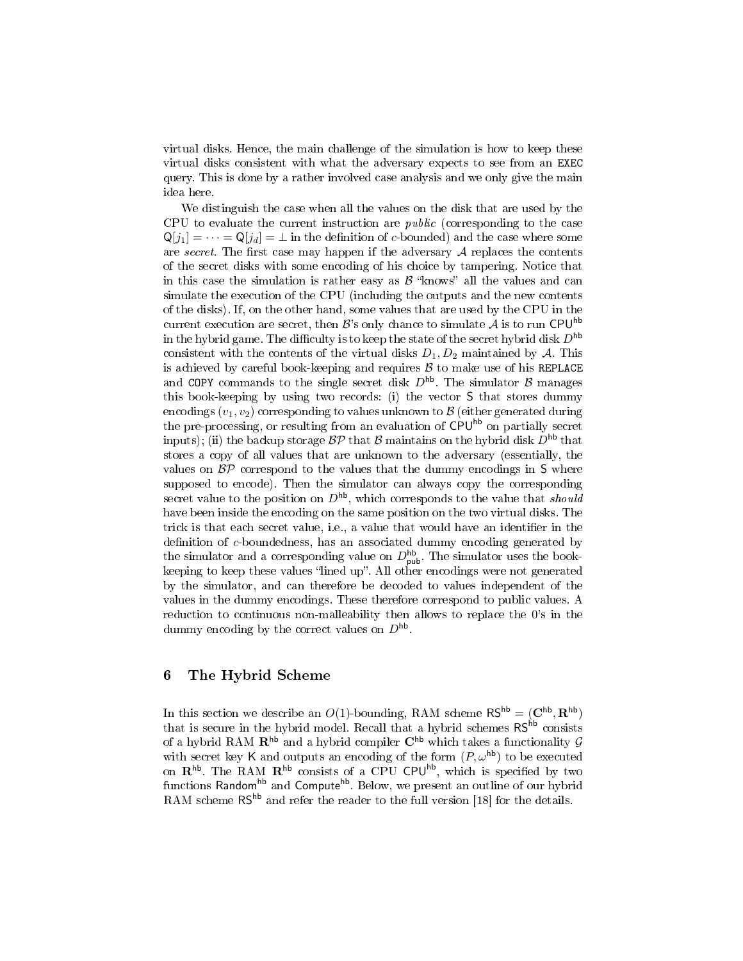virtual disks. Hence, the main challenge of the simulation is how to keep these virtual disks consistent with what the adversary expects to see from an EXEC query. This is done by a rather involved case analysis and we only give the main idea here.

We distinguish the case when all the values on the disk that are used by the CPU to evaluate the current instruction are public (corresponding to the case  $Q[j_1] = \cdots = Q[j_d] = \perp$  in the definition of c-bounded) and the case where some are secret. The first case may happen if the adversary  $A$  replaces the contents of the secret disks with some encoding of his choice by tampering. Notice that in this case the simulation is rather easy as  $\beta$  "knows" all the values and can simulate the execution of the CPU (including the outputs and the new contents of the disks). If, on the other hand, some values that are used by the CPU in the current execution are secret, then  $\mathcal{B}$ 's only chance to simulate  $\mathcal{A}$  is to run CPU<sup>hb</sup> in the hybrid game. The difficulty is to keep the state of the secret hybrid disk  $D^{\text{hb}}$ consistent with the contents of the virtual disks  $D_1, D_2$  maintained by A. This is achieved by careful book-keeping and requires  $\beta$  to make use of his REPLACE and COPY commands to the single secret disk  $D^{hb}$ . The simulator  $\beta$  manages this book-keeping by using two records: (i) the vector S that stores dummy encodings  $(v_1, v_2)$  corresponding to values unknown to  $\mathcal B$  (either generated during the pre-processing, or resulting from an evaluation of CPU<sup>hb</sup> on partially secret inputs); (ii) the backup storage  $BP$  that B maintains on the hybrid disk  $D^{hb}$  that stores a copy of all values that are unknown to the adversary (essentially, the values on  $BP$  correspond to the values that the dummy encodings in S where supposed to encode). Then the simulator can always copy the corresponding secret value to the position on  $D^{hb}$ , which corresponds to the value that *should* have been inside the encoding on the same position on the two virtual disks. The trick is that each secret value, i.e., a value that would have an identifier in the definition of  $c$ -boundedness, has an associated dummy encoding generated by the simulator and a corresponding value on  $D_{\text{pub}}^{\text{hb}}$ . The simulator uses the bookkeeping to keep these values "lined up". All other encodings were not generated by the simulator, and can therefore be decoded to values independent of the values in the dummy encodings. These therefore correspond to public values. A reduction to continuous non-malleability then allows to replace the 0's in the dummy encoding by the correct values on  $D^{\mathsf{hb}}$ .

## 6 The Hybrid Scheme

In this section we describe an  $O(1)$ -bounding, RAM scheme  $\mathsf{RS}^{\mathsf{hb}} = (\mathbf{C}^{\mathsf{hb}}, \mathbf{R}^{\mathsf{hb}})$ that is secure in the hybrid model. Recall that a hybrid schemes  $RS^{\overrightarrow{hb}}$  consists of a hybrid RAM  $\mathbb{R}^{hb}$  and a hybrid compiler  $\mathbb{C}^{hb}$  which takes a functionality  $\mathcal G$ with secret key K and outputs an encoding of the form  $(P, \omega^{\text{hb}})$  to be executed on  $\mathbf{R}^{hb}$ . The RAM  $\mathbf{R}^{hb}$  consists of a CPU CPU<sup>hb</sup>, which is specified by two functions Random<sup>hb</sup> and Compute<sup>hb</sup>. Below, we present an outline of our hybrid RAM scheme RS<sup>hb</sup> and refer the reader to the full version [18] for the details.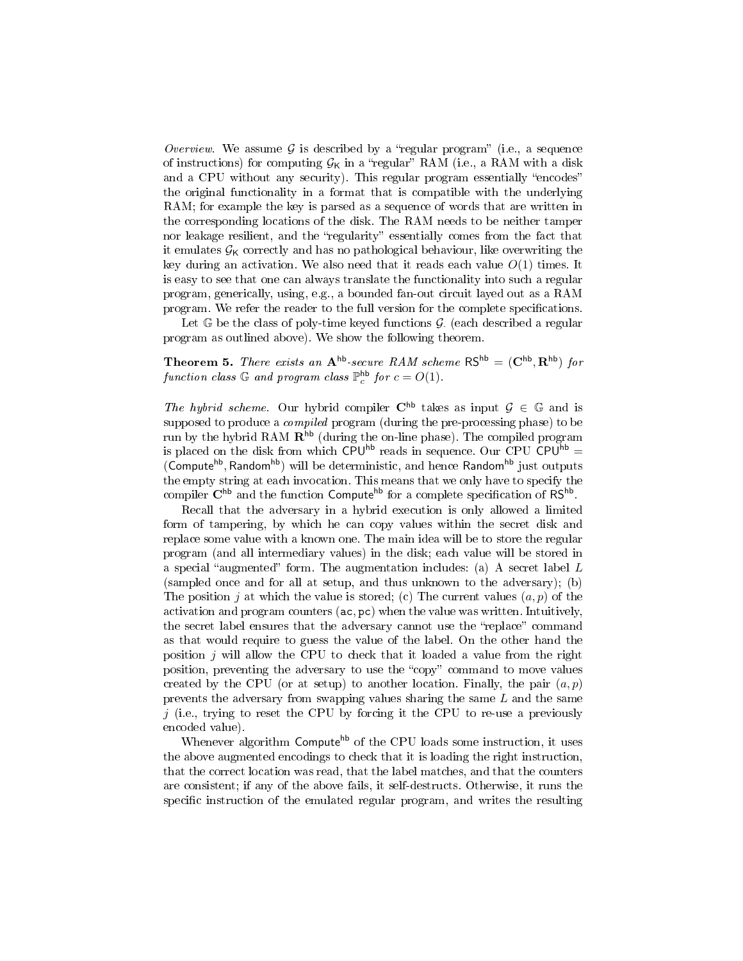*Overview.* We assume  $G$  is described by a "regular program" (i.e., a sequence of instructions) for computing  $G_K$  in a "regular" RAM (i.e., a RAM with a disk and a CPU without any security). This regular program essentially "encodes" the original functionality in a format that is compatible with the underlying RAM; for example the key is parsed as a sequence of words that are written in the corresponding locations of the disk. The RAM needs to be neither tamper nor leakage resilient, and the "regularity" essentially comes from the fact that it emulates  $\mathcal{G}_{\mathsf{K}}$  correctly and has no pathological behaviour, like overwriting the key during an activation. We also need that it reads each value  $O(1)$  times. It is easy to see that one can always translate the functionality into such a regular program, generically, using, e.g., a bounded fan-out circuit layed out as a RAM program. We refer the reader to the full version for the complete specifications.

Let  $\mathbb{G}$  be the class of poly-time keyed functions G. (each described a regular program as outlined above). We show the following theorem.

**Theorem 5.** There exists an  $A^{hb}$ -secure RAM scheme  $BS^{hb} = (C^{hb}, R^{hb})$  for function class  $\mathbb{G}$  and program class  $\mathbb{P}_c^{\text{hb}}$  for  $c = O(1)$ .

The hybrid scheme. Our hybrid compiler  $C^{hb}$  takes as input  $\mathcal{G} \in \mathbb{G}$  and is supposed to produce a *compiled* program (during the pre-processing phase) to be run by the hybrid RAM  $\mathbb{R}^{hb}$  (during the on-line phase). The compiled program is placed on the disk from which  $CPU^{hb}$  reads in sequence. Our CPU CPU<sup>hb</sup> = (Compute<sup>hb</sup>, Random<sup>hb</sup>) will be deterministic, and hence Random<sup>hb</sup> just outputs the empty string at each invocation. This means that we only have to specify the compiler  $\mathbf{C}^{\mathsf{hb}}$  and the function  $\mathsf{Compute}^{\mathsf{hb}}$  for a complete specification of  $\mathsf{RS}^{\mathsf{hb}}$ .

Recall that the adversary in a hybrid execution is only allowed a limited form of tampering, by which he can copy values within the secret disk and replace some value with a known one. The main idea will be to store the regular program (and all intermediary values) in the disk; each value will be stored in a special "augmented" form. The augmentation includes: (a) A secret label  $L$ (sampled once and for all at setup, and thus unknown to the adversary); (b) The position j at which the value is stored; (c) The current values  $(a, p)$  of the activation and program counters (ac, pc) when the value was written. Intuitively, the secret label ensures that the adversary cannot use the "replace" command as that would require to guess the value of the label. On the other hand the position  $j$  will allow the CPU to check that it loaded a value from the right position, preventing the adversary to use the "copy" command to move values created by the CPU (or at setup) to another location. Finally, the pair  $(a, p)$ prevents the adversary from swapping values sharing the same L and the same  $j$  (i.e., trying to reset the CPU by forcing it the CPU to re-use a previously encoded value).

Whenever algorithm Compute<sup>hb</sup> of the CPU loads some instruction, it uses the above augmented encodings to check that it is loading the right instruction, that the correct location was read, that the label matches, and that the counters are consistent; if any of the above fails, it self-destructs. Otherwise, it runs the specific instruction of the emulated regular program, and writes the resulting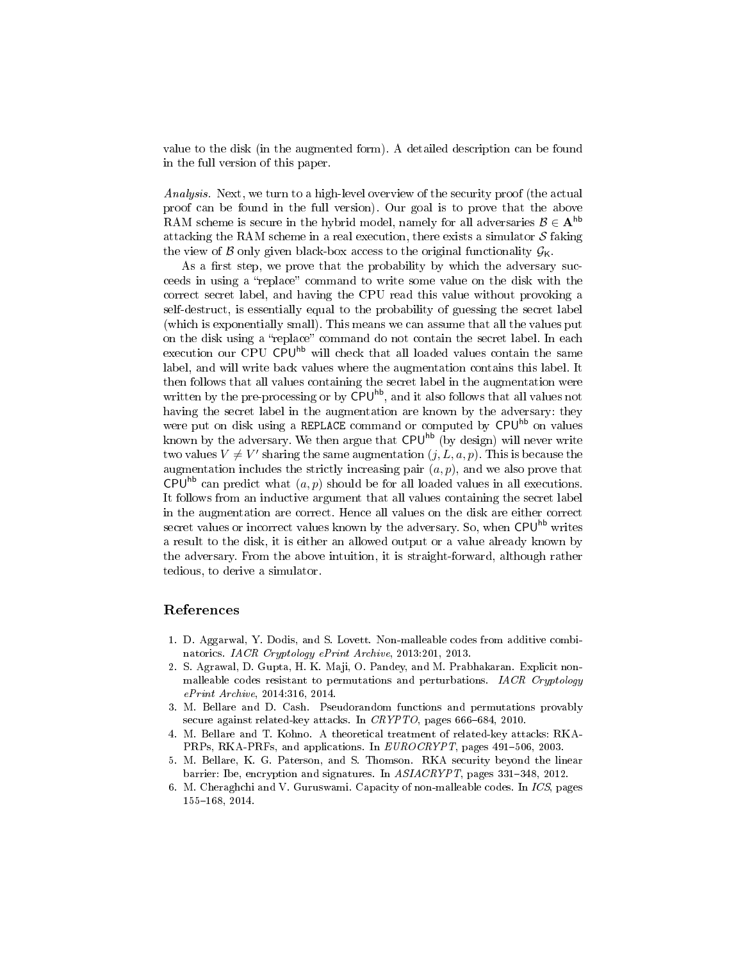value to the disk (in the augmented form). A detailed description can be found in the full version of this paper.

Analysis. Next, we turn to a high-level overview of the security proof (the actual proof can be found in the full version). Our goal is to prove that the above RAM scheme is secure in the hybrid model, namely for all adversaries  $\mathcal{B} \in \mathbf{A}^{hb}$ attacking the RAM scheme in a real execution, there exists a simulator  $S$  faking the view of  $\beta$  only given black-box access to the original functionality  $\mathcal{G}_{\mathsf{K}}$ .

As a first step, we prove that the probability by which the adversary succeeds in using a "replace" command to write some value on the disk with the correct secret label, and having the CPU read this value without provoking a self-destruct, is essentially equal to the probability of guessing the secret label (which is exponentially small). This means we can assume that all the values put on the disk using a "replace" command do not contain the secret label. In each execution our CPU CPU<sup>hb</sup> will check that all loaded values contain the same label, and will write back values where the augmentation contains this label. It then follows that all values containing the secret label in the augmentation were written by the pre-processing or by  $\check{CPU}^{hb}$ , and it also follows that all values not having the secret label in the augmentation are known by the adversary: they were put on disk using a REPLACE command or computed by CPU<sup>hb</sup> on values known by the adversary. We then argue that  $\text{CPU}^{\text{hb}}$  (by design) will never write two values  $V \neq V'$  sharing the same augmentation  $(j, L, a, p)$ . This is because the augmentation includes the strictly increasing pair  $(a, p)$ , and we also prove that CPU<sup>hb</sup> can predict what  $(a, p)$  should be for all loaded values in all executions. It follows from an inductive argument that all values containing the secret label in the augmentation are correct. Hence all values on the disk are either correct secret values or incorrect values known by the adversary. So, when CPU<sup>hb</sup> writes a result to the disk, it is either an allowed output or a value already known by the adversary. From the above intuition, it is straight-forward, although rather tedious, to derive a simulator.

## References

- 1. D. Aggarwal, Y. Dodis, and S. Lovett. Non-malleable codes from additive combinatorics. IACR Cryptology ePrint Archive, 2013:201, 2013.
- 2. S. Agrawal, D. Gupta, H. K. Maji, O. Pandey, and M. Prabhakaran. Explicit nonmalleable codes resistant to permutations and perturbations. IACR Cryptology ePrint Archive, 2014:316, 2014.
- 3. M. Bellare and D. Cash. Pseudorandom functions and permutations provably secure against related-key attacks. In  $CRYPTO$ , pages 666-684, 2010.
- 4. M. Bellare and T. Kohno. A theoretical treatment of related-key attacks: RKA-PRPs, RKA-PRFs, and applications. In EUROCRYPT, pages 491-506, 2003.
- 5. M. Bellare, K. G. Paterson, and S. Thomson. RKA security beyond the linear barrier: Ibe, encryption and signatures. In  $ASIACRYPT$ , pages 331-348, 2012.
- 6. M. Cheraghchi and V. Guruswami. Capacity of non-malleable codes. In ICS, pages 155168, 2014.